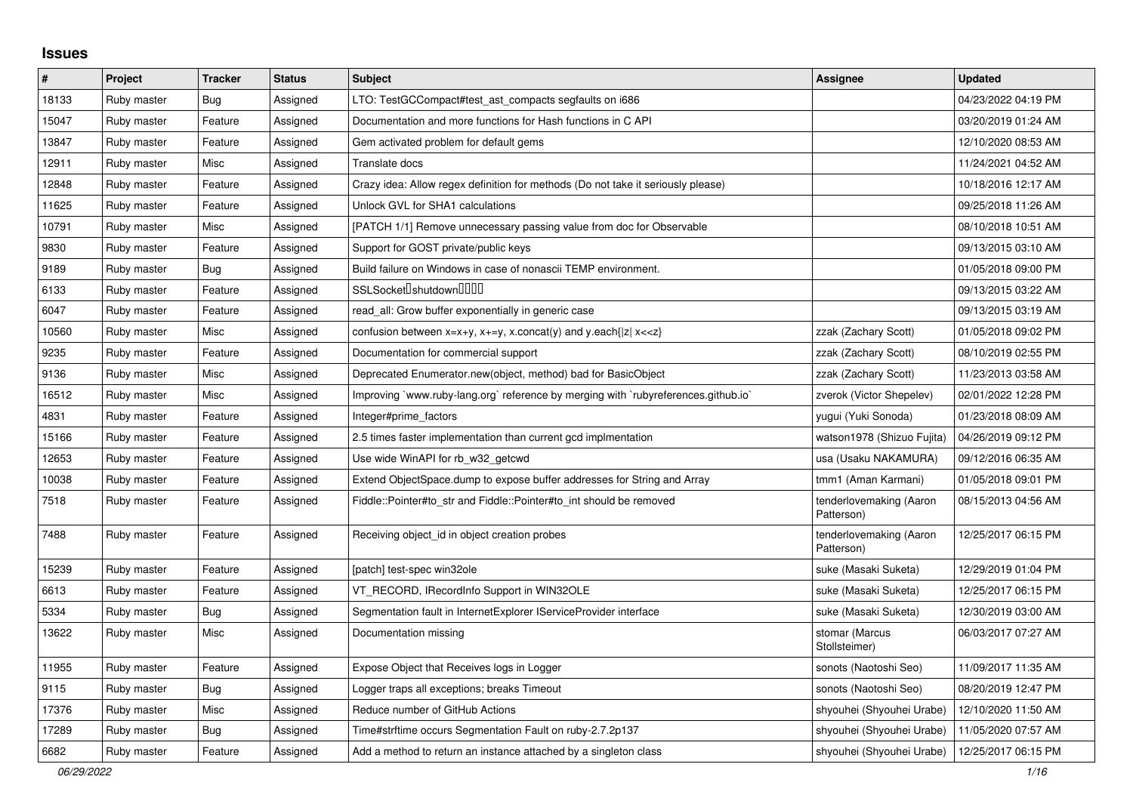## **Issues**

| #     | Project     | <b>Tracker</b> | <b>Status</b> | <b>Subject</b>                                                                     | <b>Assignee</b>                       | <b>Updated</b>      |
|-------|-------------|----------------|---------------|------------------------------------------------------------------------------------|---------------------------------------|---------------------|
| 18133 | Ruby master | <b>Bug</b>     | Assigned      | LTO: TestGCCompact#test_ast_compacts segfaults on i686                             |                                       | 04/23/2022 04:19 PM |
| 15047 | Ruby master | Feature        | Assigned      | Documentation and more functions for Hash functions in C API                       |                                       | 03/20/2019 01:24 AM |
| 13847 | Ruby master | Feature        | Assigned      | Gem activated problem for default gems                                             |                                       | 12/10/2020 08:53 AM |
| 12911 | Ruby master | Misc           | Assigned      | Translate docs                                                                     |                                       | 11/24/2021 04:52 AM |
| 12848 | Ruby master | Feature        | Assigned      | Crazy idea: Allow regex definition for methods (Do not take it seriously please)   |                                       | 10/18/2016 12:17 AM |
| 11625 | Ruby master | Feature        | Assigned      | Unlock GVL for SHA1 calculations                                                   |                                       | 09/25/2018 11:26 AM |
| 10791 | Ruby master | Misc           | Assigned      | [PATCH 1/1] Remove unnecessary passing value from doc for Observable               |                                       | 08/10/2018 10:51 AM |
| 9830  | Ruby master | Feature        | Assigned      | Support for GOST private/public keys                                               |                                       | 09/13/2015 03:10 AM |
| 9189  | Ruby master | Bug            | Assigned      | Build failure on Windows in case of nonascii TEMP environment.                     |                                       | 01/05/2018 09:00 PM |
| 6133  | Ruby master | Feature        | Assigned      | SSLSocket <sup>[</sup> shutdown <sup>[10]</sup>                                    |                                       | 09/13/2015 03:22 AM |
| 6047  | Ruby master | Feature        | Assigned      | read_all: Grow buffer exponentially in generic case                                |                                       | 09/13/2015 03:19 AM |
| 10560 | Ruby master | Misc           | Assigned      | confusion between $x=x+y$ , $x+=y$ , x.concat(y) and y.each{ z  $x<}$              | zzak (Zachary Scott)                  | 01/05/2018 09:02 PM |
| 9235  | Ruby master | Feature        | Assigned      | Documentation for commercial support                                               | zzak (Zachary Scott)                  | 08/10/2019 02:55 PM |
| 9136  | Ruby master | Misc           | Assigned      | Deprecated Enumerator.new(object, method) bad for BasicObject                      | zzak (Zachary Scott)                  | 11/23/2013 03:58 AM |
| 16512 | Ruby master | Misc           | Assigned      | Improving `www.ruby-lang.org` reference by merging with `rubyreferences.github.io` | zverok (Victor Shepelev)              | 02/01/2022 12:28 PM |
| 4831  | Ruby master | Feature        | Assigned      | Integer#prime factors                                                              | yugui (Yuki Sonoda)                   | 01/23/2018 08:09 AM |
| 15166 | Ruby master | Feature        | Assigned      | 2.5 times faster implementation than current gcd implmentation                     | watson1978 (Shizuo Fujita)            | 04/26/2019 09:12 PM |
| 12653 | Ruby master | Feature        | Assigned      | Use wide WinAPI for rb_w32_getcwd                                                  | usa (Usaku NAKAMURA)                  | 09/12/2016 06:35 AM |
| 10038 | Ruby master | Feature        | Assigned      | Extend ObjectSpace.dump to expose buffer addresses for String and Array            | tmm1 (Aman Karmani)                   | 01/05/2018 09:01 PM |
| 7518  | Ruby master | Feature        | Assigned      | Fiddle::Pointer#to str and Fiddle::Pointer#to int should be removed                | tenderlovemaking (Aaron<br>Patterson) | 08/15/2013 04:56 AM |
| 7488  | Ruby master | Feature        | Assigned      | Receiving object_id in object creation probes                                      | tenderlovemaking (Aaron<br>Patterson) | 12/25/2017 06:15 PM |
| 15239 | Ruby master | Feature        | Assigned      | [patch] test-spec win32ole                                                         | suke (Masaki Suketa)                  | 12/29/2019 01:04 PM |
| 6613  | Ruby master | Feature        | Assigned      | VT_RECORD, IRecordInfo Support in WIN32OLE                                         | suke (Masaki Suketa)                  | 12/25/2017 06:15 PM |
| 5334  | Ruby master | Bug            | Assigned      | Segmentation fault in InternetExplorer IServiceProvider interface                  | suke (Masaki Suketa)                  | 12/30/2019 03:00 AM |
| 13622 | Ruby master | Misc           | Assigned      | Documentation missing                                                              | stomar (Marcus<br>Stollsteimer)       | 06/03/2017 07:27 AM |
| 11955 | Ruby master | Feature        | Assigned      | Expose Object that Receives logs in Logger                                         | sonots (Naotoshi Seo)                 | 11/09/2017 11:35 AM |
| 9115  | Ruby master | Bug            | Assigned      | Logger traps all exceptions; breaks Timeout                                        | sonots (Naotoshi Seo)                 | 08/20/2019 12:47 PM |
| 17376 | Ruby master | Misc           | Assigned      | Reduce number of GitHub Actions                                                    | shyouhei (Shyouhei Urabe)             | 12/10/2020 11:50 AM |
| 17289 | Ruby master | Bug            | Assigned      | Time#strftime occurs Segmentation Fault on ruby-2.7.2p137                          | shyouhei (Shyouhei Urabe)             | 11/05/2020 07:57 AM |
| 6682  | Ruby master | Feature        | Assigned      | Add a method to return an instance attached by a singleton class                   | shyouhei (Shyouhei Urabe)             | 12/25/2017 06:15 PM |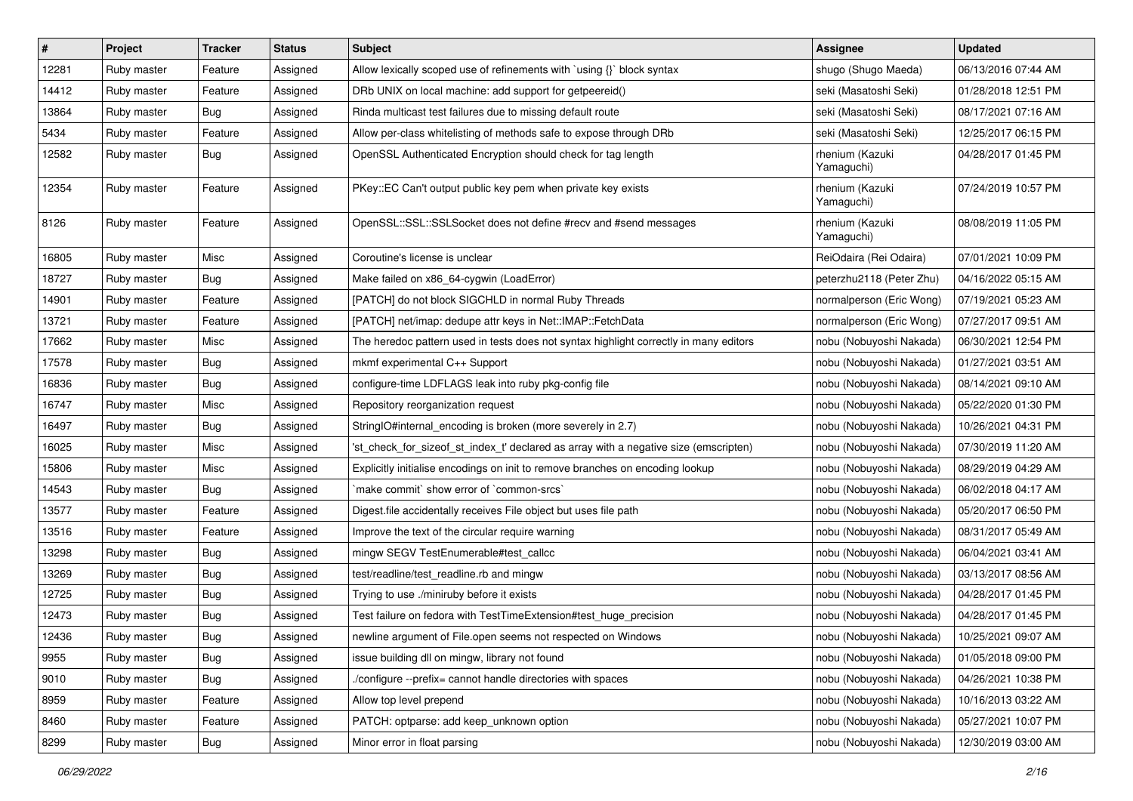| $\vert$ # | Project     | <b>Tracker</b> | <b>Status</b> | Subject                                                                               | <b>Assignee</b>               | <b>Updated</b>      |
|-----------|-------------|----------------|---------------|---------------------------------------------------------------------------------------|-------------------------------|---------------------|
| 12281     | Ruby master | Feature        | Assigned      | Allow lexically scoped use of refinements with `using {}` block syntax                | shugo (Shugo Maeda)           | 06/13/2016 07:44 AM |
| 14412     | Ruby master | Feature        | Assigned      | DRb UNIX on local machine: add support for getpeereid()                               | seki (Masatoshi Seki)         | 01/28/2018 12:51 PM |
| 13864     | Ruby master | <b>Bug</b>     | Assigned      | Rinda multicast test failures due to missing default route                            | seki (Masatoshi Seki)         | 08/17/2021 07:16 AM |
| 5434      | Ruby master | Feature        | Assigned      | Allow per-class whitelisting of methods safe to expose through DRb                    | seki (Masatoshi Seki)         | 12/25/2017 06:15 PM |
| 12582     | Ruby master | <b>Bug</b>     | Assigned      | OpenSSL Authenticated Encryption should check for tag length                          | rhenium (Kazuki<br>Yamaguchi) | 04/28/2017 01:45 PM |
| 12354     | Ruby master | Feature        | Assigned      | PKey::EC Can't output public key pem when private key exists                          | rhenium (Kazuki<br>Yamaguchi) | 07/24/2019 10:57 PM |
| 8126      | Ruby master | Feature        | Assigned      | OpenSSL::SSL:SSLSocket does not define #recv and #send messages                       | rhenium (Kazuki<br>Yamaguchi) | 08/08/2019 11:05 PM |
| 16805     | Ruby master | Misc           | Assigned      | Coroutine's license is unclear                                                        | ReiOdaira (Rei Odaira)        | 07/01/2021 10:09 PM |
| 18727     | Ruby master | Bug            | Assigned      | Make failed on x86_64-cygwin (LoadError)                                              | peterzhu2118 (Peter Zhu)      | 04/16/2022 05:15 AM |
| 14901     | Ruby master | Feature        | Assigned      | [PATCH] do not block SIGCHLD in normal Ruby Threads                                   | normalperson (Eric Wong)      | 07/19/2021 05:23 AM |
| 13721     | Ruby master | Feature        | Assigned      | [PATCH] net/imap: dedupe attr keys in Net::IMAP::FetchData                            | normalperson (Eric Wong)      | 07/27/2017 09:51 AM |
| 17662     | Ruby master | Misc           | Assigned      | The heredoc pattern used in tests does not syntax highlight correctly in many editors | nobu (Nobuyoshi Nakada)       | 06/30/2021 12:54 PM |
| 17578     | Ruby master | <b>Bug</b>     | Assigned      | mkmf experimental C++ Support                                                         | nobu (Nobuyoshi Nakada)       | 01/27/2021 03:51 AM |
| 16836     | Ruby master | <b>Bug</b>     | Assigned      | configure-time LDFLAGS leak into ruby pkg-config file                                 | nobu (Nobuyoshi Nakada)       | 08/14/2021 09:10 AM |
| 16747     | Ruby master | Misc           | Assigned      | Repository reorganization request                                                     | nobu (Nobuyoshi Nakada)       | 05/22/2020 01:30 PM |
| 16497     | Ruby master | <b>Bug</b>     | Assigned      | StringIO#internal_encoding is broken (more severely in 2.7)                           | nobu (Nobuyoshi Nakada)       | 10/26/2021 04:31 PM |
| 16025     | Ruby master | Misc           | Assigned      | 'st_check_for_sizeof_st_index_t' declared as array with a negative size (emscripten)  | nobu (Nobuyoshi Nakada)       | 07/30/2019 11:20 AM |
| 15806     | Ruby master | Misc           | Assigned      | Explicitly initialise encodings on init to remove branches on encoding lookup         | nobu (Nobuyoshi Nakada)       | 08/29/2019 04:29 AM |
| 14543     | Ruby master | Bug            | Assigned      | 'make commit' show error of 'common-srcs'                                             | nobu (Nobuyoshi Nakada)       | 06/02/2018 04:17 AM |
| 13577     | Ruby master | Feature        | Assigned      | Digest file accidentally receives File object but uses file path                      | nobu (Nobuyoshi Nakada)       | 05/20/2017 06:50 PM |
| 13516     | Ruby master | Feature        | Assigned      | Improve the text of the circular require warning                                      | nobu (Nobuyoshi Nakada)       | 08/31/2017 05:49 AM |
| 13298     | Ruby master | <b>Bug</b>     | Assigned      | mingw SEGV TestEnumerable#test_callcc                                                 | nobu (Nobuyoshi Nakada)       | 06/04/2021 03:41 AM |
| 13269     | Ruby master | Bug            | Assigned      | test/readline/test_readline.rb and mingw                                              | nobu (Nobuyoshi Nakada)       | 03/13/2017 08:56 AM |
| 12725     | Ruby master | Bug            | Assigned      | Trying to use ./miniruby before it exists                                             | nobu (Nobuyoshi Nakada)       | 04/28/2017 01:45 PM |
| 12473     | Ruby master | Bug            | Assigned      | Test failure on fedora with TestTimeExtension#test_huge_precision                     | nobu (Nobuyoshi Nakada)       | 04/28/2017 01:45 PM |
| 12436     | Ruby master | Bug            | Assigned      | newline argument of File.open seems not respected on Windows                          | nobu (Nobuyoshi Nakada)       | 10/25/2021 09:07 AM |
| 9955      | Ruby master | <b>Bug</b>     | Assigned      | issue building dll on mingw, library not found                                        | nobu (Nobuyoshi Nakada)       | 01/05/2018 09:00 PM |
| 9010      | Ruby master | Bug            | Assigned      | /configure --prefix= cannot handle directories with spaces                            | nobu (Nobuyoshi Nakada)       | 04/26/2021 10:38 PM |
| 8959      | Ruby master | Feature        | Assigned      | Allow top level prepend                                                               | nobu (Nobuyoshi Nakada)       | 10/16/2013 03:22 AM |
| 8460      | Ruby master | Feature        | Assigned      | PATCH: optparse: add keep_unknown option                                              | nobu (Nobuyoshi Nakada)       | 05/27/2021 10:07 PM |
| 8299      | Ruby master | Bug            | Assigned      | Minor error in float parsing                                                          | nobu (Nobuyoshi Nakada)       | 12/30/2019 03:00 AM |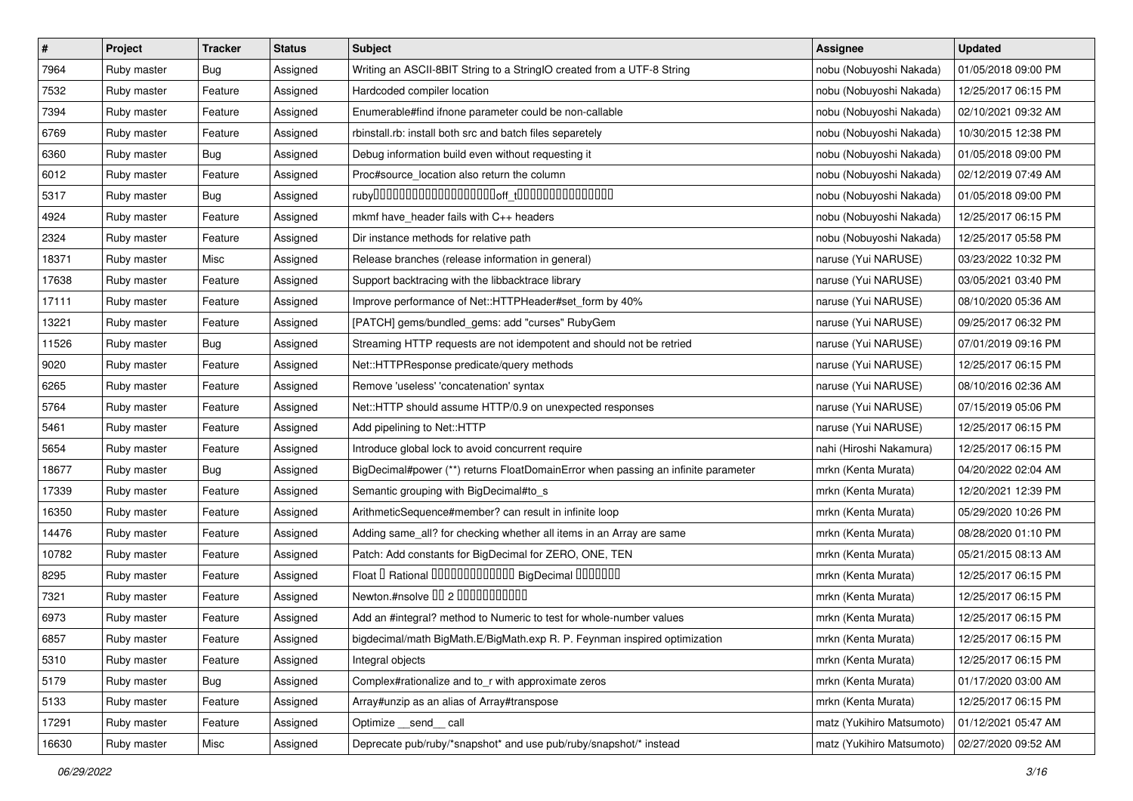| $\sharp$ | Project     | <b>Tracker</b> | <b>Status</b> | Subject                                                                           | Assignee                  | <b>Updated</b>      |
|----------|-------------|----------------|---------------|-----------------------------------------------------------------------------------|---------------------------|---------------------|
| 7964     | Ruby master | Bug            | Assigned      | Writing an ASCII-8BIT String to a StringIO created from a UTF-8 String            | nobu (Nobuyoshi Nakada)   | 01/05/2018 09:00 PM |
| 7532     | Ruby master | Feature        | Assigned      | Hardcoded compiler location                                                       | nobu (Nobuyoshi Nakada)   | 12/25/2017 06:15 PM |
| 7394     | Ruby master | Feature        | Assigned      | Enumerable#find ifnone parameter could be non-callable                            | nobu (Nobuyoshi Nakada)   | 02/10/2021 09:32 AM |
| 6769     | Ruby master | Feature        | Assigned      | rbinstall.rb: install both src and batch files separetely                         | nobu (Nobuyoshi Nakada)   | 10/30/2015 12:38 PM |
| 6360     | Ruby master | <b>Bug</b>     | Assigned      | Debug information build even without requesting it                                | nobu (Nobuyoshi Nakada)   | 01/05/2018 09:00 PM |
| 6012     | Ruby master | Feature        | Assigned      | Proc#source_location also return the column                                       | nobu (Nobuyoshi Nakada)   | 02/12/2019 07:49 AM |
| 5317     | Ruby master | Bug            | Assigned      |                                                                                   | nobu (Nobuyoshi Nakada)   | 01/05/2018 09:00 PM |
| 4924     | Ruby master | Feature        | Assigned      | mkmf have_header fails with C++ headers                                           | nobu (Nobuyoshi Nakada)   | 12/25/2017 06:15 PM |
| 2324     | Ruby master | Feature        | Assigned      | Dir instance methods for relative path                                            | nobu (Nobuyoshi Nakada)   | 12/25/2017 05:58 PM |
| 18371    | Ruby master | Misc           | Assigned      | Release branches (release information in general)                                 | naruse (Yui NARUSE)       | 03/23/2022 10:32 PM |
| 17638    | Ruby master | Feature        | Assigned      | Support backtracing with the libbacktrace library                                 | naruse (Yui NARUSE)       | 03/05/2021 03:40 PM |
| 17111    | Ruby master | Feature        | Assigned      | Improve performance of Net::HTTPHeader#set_form by 40%                            | naruse (Yui NARUSE)       | 08/10/2020 05:36 AM |
| 13221    | Ruby master | Feature        | Assigned      | [PATCH] gems/bundled_gems: add "curses" RubyGem                                   | naruse (Yui NARUSE)       | 09/25/2017 06:32 PM |
| 11526    | Ruby master | Bug            | Assigned      | Streaming HTTP requests are not idempotent and should not be retried              | naruse (Yui NARUSE)       | 07/01/2019 09:16 PM |
| 9020     | Ruby master | Feature        | Assigned      | Net::HTTPResponse predicate/query methods                                         | naruse (Yui NARUSE)       | 12/25/2017 06:15 PM |
| 6265     | Ruby master | Feature        | Assigned      | Remove 'useless' 'concatenation' syntax                                           | naruse (Yui NARUSE)       | 08/10/2016 02:36 AM |
| 5764     | Ruby master | Feature        | Assigned      | Net::HTTP should assume HTTP/0.9 on unexpected responses                          | naruse (Yui NARUSE)       | 07/15/2019 05:06 PM |
| 5461     | Ruby master | Feature        | Assigned      | Add pipelining to Net::HTTP                                                       | naruse (Yui NARUSE)       | 12/25/2017 06:15 PM |
| 5654     | Ruby master | Feature        | Assigned      | Introduce global lock to avoid concurrent require                                 | nahi (Hiroshi Nakamura)   | 12/25/2017 06:15 PM |
| 18677    | Ruby master | Bug            | Assigned      | BigDecimal#power (**) returns FloatDomainError when passing an infinite parameter | mrkn (Kenta Murata)       | 04/20/2022 02:04 AM |
| 17339    | Ruby master | Feature        | Assigned      | Semantic grouping with BigDecimal#to_s                                            | mrkn (Kenta Murata)       | 12/20/2021 12:39 PM |
| 16350    | Ruby master | Feature        | Assigned      | ArithmeticSequence#member? can result in infinite loop                            | mrkn (Kenta Murata)       | 05/29/2020 10:26 PM |
| 14476    | Ruby master | Feature        | Assigned      | Adding same_all? for checking whether all items in an Array are same              | mrkn (Kenta Murata)       | 08/28/2020 01:10 PM |
| 10782    | Ruby master | Feature        | Assigned      | Patch: Add constants for BigDecimal for ZERO, ONE, TEN                            | mrkn (Kenta Murata)       | 05/21/2015 08:13 AM |
| 8295     | Ruby master | Feature        | Assigned      | Float I Rational IIIIIIIIIIIIIIIIIII BigDecimal IIIIIIIIII                        | mrkn (Kenta Murata)       | 12/25/2017 06:15 PM |
| 7321     | Ruby master | Feature        | Assigned      | Newton.#nsolve 00 2 0000000000                                                    | mrkn (Kenta Murata)       | 12/25/2017 06:15 PM |
| 6973     | Ruby master | Feature        | Assigned      | Add an #integral? method to Numeric to test for whole-number values               | mrkn (Kenta Murata)       | 12/25/2017 06:15 PM |
| 6857     | Ruby master | Feature        | Assigned      | bigdecimal/math BigMath.E/BigMath.exp R. P. Feynman inspired optimization         | mrkn (Kenta Murata)       | 12/25/2017 06:15 PM |
| 5310     | Ruby master | Feature        | Assigned      | Integral objects                                                                  | mrkn (Kenta Murata)       | 12/25/2017 06:15 PM |
| 5179     | Ruby master | <b>Bug</b>     | Assigned      | Complex#rationalize and to_r with approximate zeros                               | mrkn (Kenta Murata)       | 01/17/2020 03:00 AM |
| 5133     | Ruby master | Feature        | Assigned      | Array#unzip as an alias of Array#transpose                                        | mrkn (Kenta Murata)       | 12/25/2017 06:15 PM |
| 17291    | Ruby master | Feature        | Assigned      | Optimize __send__ call                                                            | matz (Yukihiro Matsumoto) | 01/12/2021 05:47 AM |
| 16630    | Ruby master | Misc           | Assigned      | Deprecate pub/ruby/*snapshot* and use pub/ruby/snapshot/* instead                 | matz (Yukihiro Matsumoto) | 02/27/2020 09:52 AM |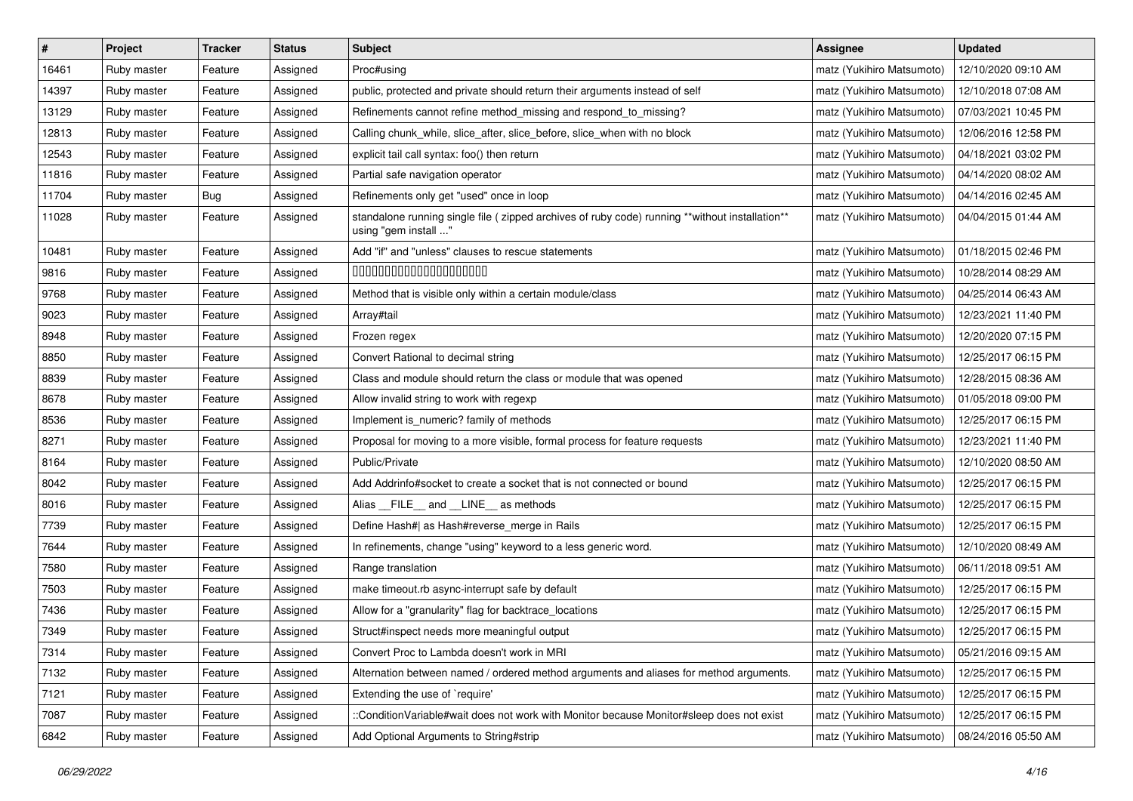| $\vert$ # | Project     | <b>Tracker</b> | <b>Status</b> | <b>Subject</b>                                                                                                          | <b>Assignee</b>           | <b>Updated</b>      |
|-----------|-------------|----------------|---------------|-------------------------------------------------------------------------------------------------------------------------|---------------------------|---------------------|
| 16461     | Ruby master | Feature        | Assigned      | Proc#using                                                                                                              | matz (Yukihiro Matsumoto) | 12/10/2020 09:10 AM |
| 14397     | Ruby master | Feature        | Assigned      | public, protected and private should return their arguments instead of self                                             | matz (Yukihiro Matsumoto) | 12/10/2018 07:08 AM |
| 13129     | Ruby master | Feature        | Assigned      | Refinements cannot refine method_missing and respond_to_missing?                                                        | matz (Yukihiro Matsumoto) | 07/03/2021 10:45 PM |
| 12813     | Ruby master | Feature        | Assigned      | Calling chunk_while, slice_after, slice_before, slice_when with no block                                                | matz (Yukihiro Matsumoto) | 12/06/2016 12:58 PM |
| 12543     | Ruby master | Feature        | Assigned      | explicit tail call syntax: foo() then return                                                                            | matz (Yukihiro Matsumoto) | 04/18/2021 03:02 PM |
| 11816     | Ruby master | Feature        | Assigned      | Partial safe navigation operator                                                                                        | matz (Yukihiro Matsumoto) | 04/14/2020 08:02 AM |
| 11704     | Ruby master | <b>Bug</b>     | Assigned      | Refinements only get "used" once in loop                                                                                | matz (Yukihiro Matsumoto) | 04/14/2016 02:45 AM |
| 11028     | Ruby master | Feature        | Assigned      | standalone running single file ( zipped archives of ruby code) running **without installation**<br>using "gem install " | matz (Yukihiro Matsumoto) | 04/04/2015 01:44 AM |
| 10481     | Ruby master | Feature        | Assigned      | Add "if" and "unless" clauses to rescue statements                                                                      | matz (Yukihiro Matsumoto) | 01/18/2015 02:46 PM |
| 9816      | Ruby master | Feature        | Assigned      | 00000000000000000000                                                                                                    | matz (Yukihiro Matsumoto) | 10/28/2014 08:29 AM |
| 9768      | Ruby master | Feature        | Assigned      | Method that is visible only within a certain module/class                                                               | matz (Yukihiro Matsumoto) | 04/25/2014 06:43 AM |
| 9023      | Ruby master | Feature        | Assigned      | Array#tail                                                                                                              | matz (Yukihiro Matsumoto) | 12/23/2021 11:40 PM |
| 8948      | Ruby master | Feature        | Assigned      | Frozen regex                                                                                                            | matz (Yukihiro Matsumoto) | 12/20/2020 07:15 PM |
| 8850      | Ruby master | Feature        | Assigned      | Convert Rational to decimal string                                                                                      | matz (Yukihiro Matsumoto) | 12/25/2017 06:15 PM |
| 8839      | Ruby master | Feature        | Assigned      | Class and module should return the class or module that was opened                                                      | matz (Yukihiro Matsumoto) | 12/28/2015 08:36 AM |
| 8678      | Ruby master | Feature        | Assigned      | Allow invalid string to work with regexp                                                                                | matz (Yukihiro Matsumoto) | 01/05/2018 09:00 PM |
| 8536      | Ruby master | Feature        | Assigned      | Implement is numeric? family of methods                                                                                 | matz (Yukihiro Matsumoto) | 12/25/2017 06:15 PM |
| 8271      | Ruby master | Feature        | Assigned      | Proposal for moving to a more visible, formal process for feature requests                                              | matz (Yukihiro Matsumoto) | 12/23/2021 11:40 PM |
| 8164      | Ruby master | Feature        | Assigned      | Public/Private                                                                                                          | matz (Yukihiro Matsumoto) | 12/10/2020 08:50 AM |
| 8042      | Ruby master | Feature        | Assigned      | Add Addrinfo#socket to create a socket that is not connected or bound                                                   | matz (Yukihiro Matsumoto) | 12/25/2017 06:15 PM |
| 8016      | Ruby master | Feature        | Assigned      | Alias FILE and LINE as methods                                                                                          | matz (Yukihiro Matsumoto) | 12/25/2017 06:15 PM |
| 7739      | Ruby master | Feature        | Assigned      | Define Hash#  as Hash#reverse_merge in Rails                                                                            | matz (Yukihiro Matsumoto) | 12/25/2017 06:15 PM |
| 7644      | Ruby master | Feature        | Assigned      | In refinements, change "using" keyword to a less generic word.                                                          | matz (Yukihiro Matsumoto) | 12/10/2020 08:49 AM |
| 7580      | Ruby master | Feature        | Assigned      | Range translation                                                                                                       | matz (Yukihiro Matsumoto) | 06/11/2018 09:51 AM |
| 7503      | Ruby master | Feature        | Assigned      | make timeout.rb async-interrupt safe by default                                                                         | matz (Yukihiro Matsumoto) | 12/25/2017 06:15 PM |
| 7436      | Ruby master | Feature        | Assigned      | Allow for a "granularity" flag for backtrace_locations                                                                  | matz (Yukihiro Matsumoto) | 12/25/2017 06:15 PM |
| 7349      | Ruby master | Feature        | Assigned      | Struct#inspect needs more meaningful output                                                                             | matz (Yukihiro Matsumoto) | 12/25/2017 06:15 PM |
| 7314      | Ruby master | Feature        | Assigned      | Convert Proc to Lambda doesn't work in MRI                                                                              | matz (Yukihiro Matsumoto) | 05/21/2016 09:15 AM |
| 7132      | Ruby master | Feature        | Assigned      | Alternation between named / ordered method arguments and aliases for method arguments.                                  | matz (Yukihiro Matsumoto) | 12/25/2017 06:15 PM |
| 7121      | Ruby master | Feature        | Assigned      | Extending the use of `require'                                                                                          | matz (Yukihiro Matsumoto) | 12/25/2017 06:15 PM |
| 7087      | Ruby master | Feature        | Assigned      | ::ConditionVariable#wait does not work with Monitor because Monitor#sleep does not exist                                | matz (Yukihiro Matsumoto) | 12/25/2017 06:15 PM |
| 6842      | Ruby master | Feature        | Assigned      | Add Optional Arguments to String#strip                                                                                  | matz (Yukihiro Matsumoto) | 08/24/2016 05:50 AM |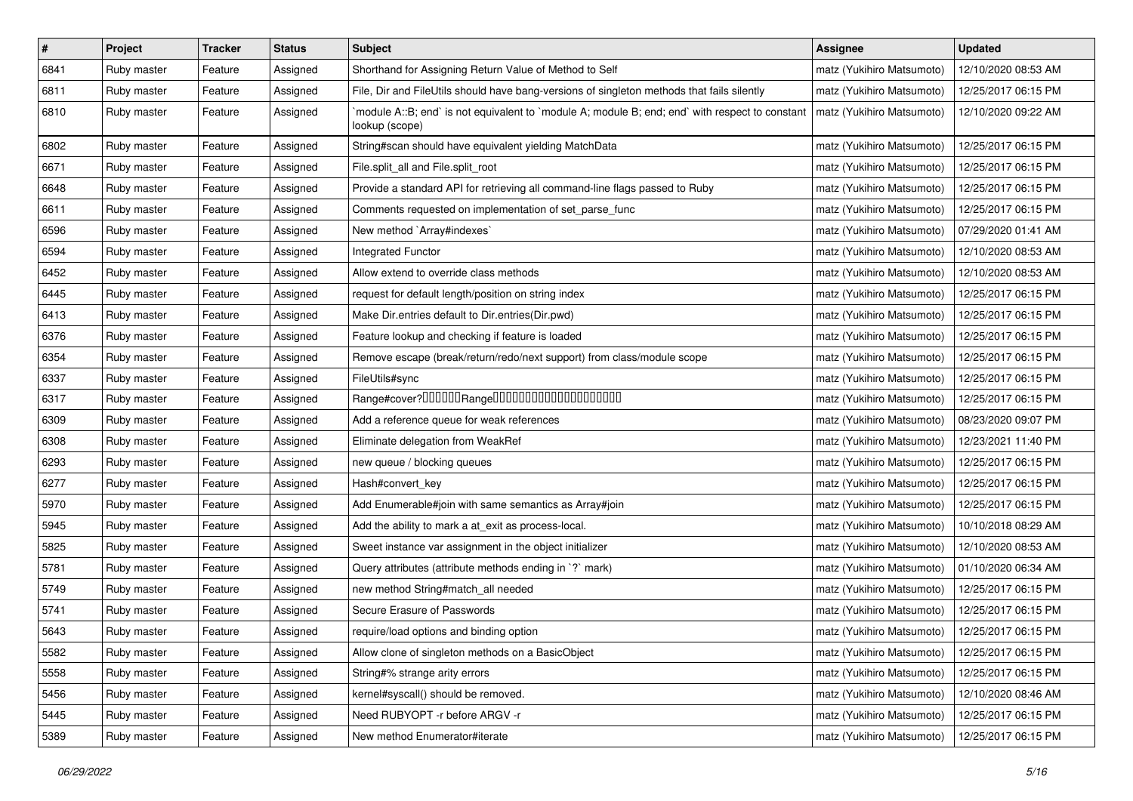| $\sharp$ | Project     | Tracker | <b>Status</b> | <b>Subject</b>                                                                                                   | Assignee                  | <b>Updated</b>      |
|----------|-------------|---------|---------------|------------------------------------------------------------------------------------------------------------------|---------------------------|---------------------|
| 6841     | Ruby master | Feature | Assigned      | Shorthand for Assigning Return Value of Method to Self                                                           | matz (Yukihiro Matsumoto) | 12/10/2020 08:53 AM |
| 6811     | Ruby master | Feature | Assigned      | File, Dir and FileUtils should have bang-versions of singleton methods that fails silently                       | matz (Yukihiro Matsumoto) | 12/25/2017 06:15 PM |
| 6810     | Ruby master | Feature | Assigned      | module A::B; end` is not equivalent to `module A; module B; end; end` with respect to constant<br>lookup (scope) | matz (Yukihiro Matsumoto) | 12/10/2020 09:22 AM |
| 6802     | Ruby master | Feature | Assigned      | String#scan should have equivalent yielding MatchData                                                            | matz (Yukihiro Matsumoto) | 12/25/2017 06:15 PM |
| 6671     | Ruby master | Feature | Assigned      | File.split_all and File.split_root                                                                               | matz (Yukihiro Matsumoto) | 12/25/2017 06:15 PM |
| 6648     | Ruby master | Feature | Assigned      | Provide a standard API for retrieving all command-line flags passed to Ruby                                      | matz (Yukihiro Matsumoto) | 12/25/2017 06:15 PM |
| 6611     | Ruby master | Feature | Assigned      | Comments requested on implementation of set_parse_func                                                           | matz (Yukihiro Matsumoto) | 12/25/2017 06:15 PM |
| 6596     | Ruby master | Feature | Assigned      | New method `Array#indexes`                                                                                       | matz (Yukihiro Matsumoto) | 07/29/2020 01:41 AM |
| 6594     | Ruby master | Feature | Assigned      | Integrated Functor                                                                                               | matz (Yukihiro Matsumoto) | 12/10/2020 08:53 AM |
| 6452     | Ruby master | Feature | Assigned      | Allow extend to override class methods                                                                           | matz (Yukihiro Matsumoto) | 12/10/2020 08:53 AM |
| 6445     | Ruby master | Feature | Assigned      | request for default length/position on string index                                                              | matz (Yukihiro Matsumoto) | 12/25/2017 06:15 PM |
| 6413     | Ruby master | Feature | Assigned      | Make Dir.entries default to Dir.entries(Dir.pwd)                                                                 | matz (Yukihiro Matsumoto) | 12/25/2017 06:15 PM |
| 6376     | Ruby master | Feature | Assigned      | Feature lookup and checking if feature is loaded                                                                 | matz (Yukihiro Matsumoto) | 12/25/2017 06:15 PM |
| 6354     | Ruby master | Feature | Assigned      | Remove escape (break/return/redo/next support) from class/module scope                                           | matz (Yukihiro Matsumoto) | 12/25/2017 06:15 PM |
| 6337     | Ruby master | Feature | Assigned      | FileUtils#sync                                                                                                   | matz (Yukihiro Matsumoto) | 12/25/2017 06:15 PM |
| 6317     | Ruby master | Feature | Assigned      | Range#cover?000000Range00000000000000000000                                                                      | matz (Yukihiro Matsumoto) | 12/25/2017 06:15 PM |
| 6309     | Ruby master | Feature | Assigned      | Add a reference queue for weak references                                                                        | matz (Yukihiro Matsumoto) | 08/23/2020 09:07 PM |
| 6308     | Ruby master | Feature | Assigned      | Eliminate delegation from WeakRef                                                                                | matz (Yukihiro Matsumoto) | 12/23/2021 11:40 PM |
| 6293     | Ruby master | Feature | Assigned      | new queue / blocking queues                                                                                      | matz (Yukihiro Matsumoto) | 12/25/2017 06:15 PM |
| 6277     | Ruby master | Feature | Assigned      | Hash#convert key                                                                                                 | matz (Yukihiro Matsumoto) | 12/25/2017 06:15 PM |
| 5970     | Ruby master | Feature | Assigned      | Add Enumerable#join with same semantics as Array#join                                                            | matz (Yukihiro Matsumoto) | 12/25/2017 06:15 PM |
| 5945     | Ruby master | Feature | Assigned      | Add the ability to mark a at_exit as process-local.                                                              | matz (Yukihiro Matsumoto) | 10/10/2018 08:29 AM |
| 5825     | Ruby master | Feature | Assigned      | Sweet instance var assignment in the object initializer                                                          | matz (Yukihiro Matsumoto) | 12/10/2020 08:53 AM |
| 5781     | Ruby master | Feature | Assigned      | Query attributes (attribute methods ending in `?` mark)                                                          | matz (Yukihiro Matsumoto) | 01/10/2020 06:34 AM |
| 5749     | Ruby master | Feature | Assigned      | new method String#match_all needed                                                                               | matz (Yukihiro Matsumoto) | 12/25/2017 06:15 PM |
| 5741     | Ruby master | Feature | Assigned      | Secure Erasure of Passwords                                                                                      | matz (Yukihiro Matsumoto) | 12/25/2017 06:15 PM |
| 5643     | Ruby master | Feature | Assigned      | require/load options and binding option                                                                          | matz (Yukihiro Matsumoto) | 12/25/2017 06:15 PM |
| 5582     | Ruby master | Feature | Assigned      | Allow clone of singleton methods on a BasicObject                                                                | matz (Yukihiro Matsumoto) | 12/25/2017 06:15 PM |
| 5558     | Ruby master | Feature | Assigned      | String#% strange arity errors                                                                                    | matz (Yukihiro Matsumoto) | 12/25/2017 06:15 PM |
| 5456     | Ruby master | Feature | Assigned      | kernel#syscall() should be removed.                                                                              | matz (Yukihiro Matsumoto) | 12/10/2020 08:46 AM |
| 5445     | Ruby master | Feature | Assigned      | Need RUBYOPT -r before ARGV -r                                                                                   | matz (Yukihiro Matsumoto) | 12/25/2017 06:15 PM |
| 5389     | Ruby master | Feature | Assigned      | New method Enumerator#iterate                                                                                    | matz (Yukihiro Matsumoto) | 12/25/2017 06:15 PM |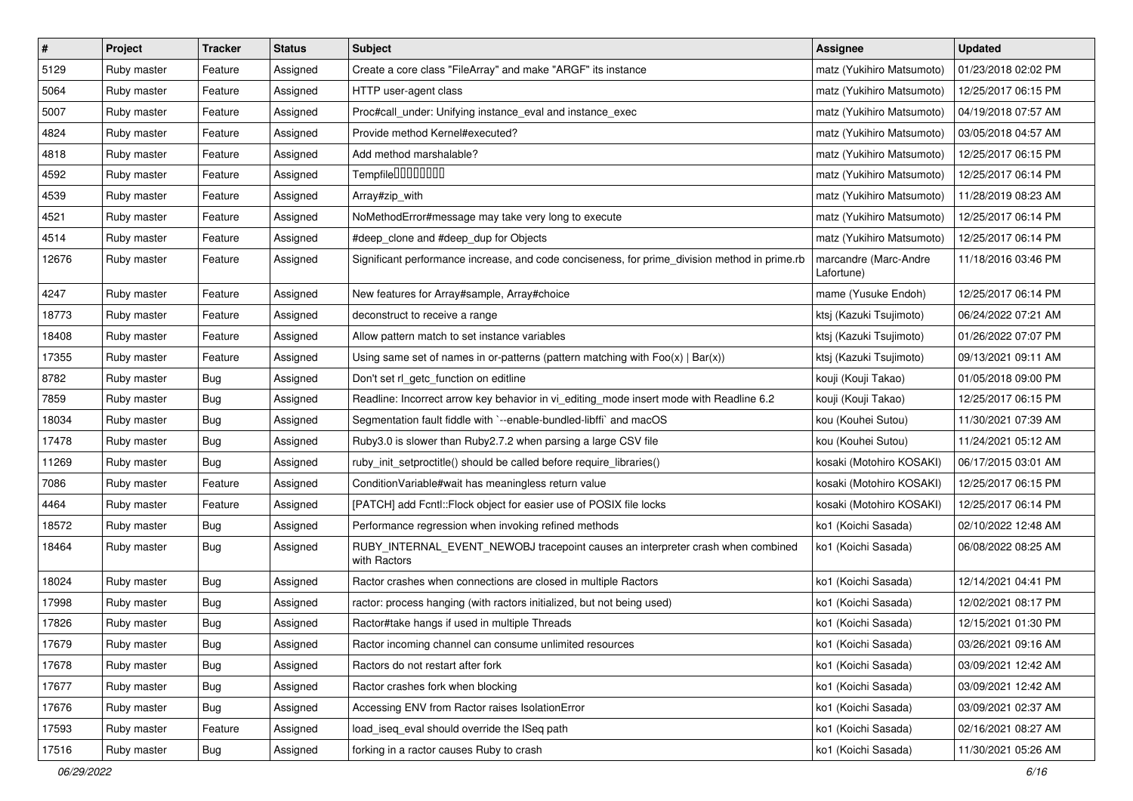| $\vert$ # | Project     | <b>Tracker</b> | <b>Status</b> | <b>Subject</b>                                                                                  | <b>Assignee</b>                     | <b>Updated</b>      |
|-----------|-------------|----------------|---------------|-------------------------------------------------------------------------------------------------|-------------------------------------|---------------------|
| 5129      | Ruby master | Feature        | Assigned      | Create a core class "FileArray" and make "ARGF" its instance                                    | matz (Yukihiro Matsumoto)           | 01/23/2018 02:02 PM |
| 5064      | Ruby master | Feature        | Assigned      | HTTP user-agent class                                                                           | matz (Yukihiro Matsumoto)           | 12/25/2017 06:15 PM |
| 5007      | Ruby master | Feature        | Assigned      | Proc#call_under: Unifying instance_eval and instance_exec                                       | matz (Yukihiro Matsumoto)           | 04/19/2018 07:57 AM |
| 4824      | Ruby master | Feature        | Assigned      | Provide method Kernel#executed?                                                                 | matz (Yukihiro Matsumoto)           | 03/05/2018 04:57 AM |
| 4818      | Ruby master | Feature        | Assigned      | Add method marshalable?                                                                         | matz (Yukihiro Matsumoto)           | 12/25/2017 06:15 PM |
| 4592      | Ruby master | Feature        | Assigned      | Tempfile0000000                                                                                 | matz (Yukihiro Matsumoto)           | 12/25/2017 06:14 PM |
| 4539      | Ruby master | Feature        | Assigned      | Array#zip_with                                                                                  | matz (Yukihiro Matsumoto)           | 11/28/2019 08:23 AM |
| 4521      | Ruby master | Feature        | Assigned      | NoMethodError#message may take very long to execute                                             | matz (Yukihiro Matsumoto)           | 12/25/2017 06:14 PM |
| 4514      | Ruby master | Feature        | Assigned      | #deep_clone and #deep_dup for Objects                                                           | matz (Yukihiro Matsumoto)           | 12/25/2017 06:14 PM |
| 12676     | Ruby master | Feature        | Assigned      | Significant performance increase, and code conciseness, for prime_division method in prime.rb   | marcandre (Marc-Andre<br>Lafortune) | 11/18/2016 03:46 PM |
| 4247      | Ruby master | Feature        | Assigned      | New features for Array#sample, Array#choice                                                     | mame (Yusuke Endoh)                 | 12/25/2017 06:14 PM |
| 18773     | Ruby master | Feature        | Assigned      | deconstruct to receive a range                                                                  | ktsj (Kazuki Tsujimoto)             | 06/24/2022 07:21 AM |
| 18408     | Ruby master | Feature        | Assigned      | Allow pattern match to set instance variables                                                   | ktsj (Kazuki Tsujimoto)             | 01/26/2022 07:07 PM |
| 17355     | Ruby master | Feature        | Assigned      | Using same set of names in or-patterns (pattern matching with $Foo(x)   Bar(x)$ )               | ktsj (Kazuki Tsujimoto)             | 09/13/2021 09:11 AM |
| 8782      | Ruby master | <b>Bug</b>     | Assigned      | Don't set rl_getc_function on editline                                                          | kouji (Kouji Takao)                 | 01/05/2018 09:00 PM |
| 7859      | Ruby master | <b>Bug</b>     | Assigned      | Readline: Incorrect arrow key behavior in vi_editing_mode insert mode with Readline 6.2         | kouji (Kouji Takao)                 | 12/25/2017 06:15 PM |
| 18034     | Ruby master | <b>Bug</b>     | Assigned      | Segmentation fault fiddle with `--enable-bundled-libffi` and macOS                              | kou (Kouhei Sutou)                  | 11/30/2021 07:39 AM |
| 17478     | Ruby master | <b>Bug</b>     | Assigned      | Ruby3.0 is slower than Ruby2.7.2 when parsing a large CSV file                                  | kou (Kouhei Sutou)                  | 11/24/2021 05:12 AM |
| 11269     | Ruby master | Bug            | Assigned      | ruby_init_setproctitle() should be called before require_libraries()                            | kosaki (Motohiro KOSAKI)            | 06/17/2015 03:01 AM |
| 7086      | Ruby master | Feature        | Assigned      | ConditionVariable#wait has meaningless return value                                             | kosaki (Motohiro KOSAKI)            | 12/25/2017 06:15 PM |
| 4464      | Ruby master | Feature        | Assigned      | [PATCH] add Fcntl::Flock object for easier use of POSIX file locks                              | kosaki (Motohiro KOSAKI)            | 12/25/2017 06:14 PM |
| 18572     | Ruby master | <b>Bug</b>     | Assigned      | Performance regression when invoking refined methods                                            | ko1 (Koichi Sasada)                 | 02/10/2022 12:48 AM |
| 18464     | Ruby master | <b>Bug</b>     | Assigned      | RUBY_INTERNAL_EVENT_NEWOBJ tracepoint causes an interpreter crash when combined<br>with Ractors | ko1 (Koichi Sasada)                 | 06/08/2022 08:25 AM |
| 18024     | Ruby master | Bug            | Assigned      | Ractor crashes when connections are closed in multiple Ractors                                  | ko1 (Koichi Sasada)                 | 12/14/2021 04:41 PM |
| 17998     | Ruby master | <b>Bug</b>     | Assigned      | ractor: process hanging (with ractors initialized, but not being used)                          | ko1 (Koichi Sasada)                 | 12/02/2021 08:17 PM |
| 17826     | Ruby master | <b>Bug</b>     | Assigned      | Ractor#take hangs if used in multiple Threads                                                   | ko1 (Koichi Sasada)                 | 12/15/2021 01:30 PM |
| 17679     | Ruby master | Bug            | Assigned      | Ractor incoming channel can consume unlimited resources                                         | ko1 (Koichi Sasada)                 | 03/26/2021 09:16 AM |
| 17678     | Ruby master | Bug            | Assigned      | Ractors do not restart after fork                                                               | ko1 (Koichi Sasada)                 | 03/09/2021 12:42 AM |
| 17677     | Ruby master | <b>Bug</b>     | Assigned      | Ractor crashes fork when blocking                                                               | ko1 (Koichi Sasada)                 | 03/09/2021 12:42 AM |
| 17676     | Ruby master | <b>Bug</b>     | Assigned      | Accessing ENV from Ractor raises IsolationError                                                 | ko1 (Koichi Sasada)                 | 03/09/2021 02:37 AM |
| 17593     | Ruby master | Feature        | Assigned      | load_iseq_eval should override the ISeq path                                                    | ko1 (Koichi Sasada)                 | 02/16/2021 08:27 AM |
| 17516     | Ruby master | Bug            | Assigned      | forking in a ractor causes Ruby to crash                                                        | ko1 (Koichi Sasada)                 | 11/30/2021 05:26 AM |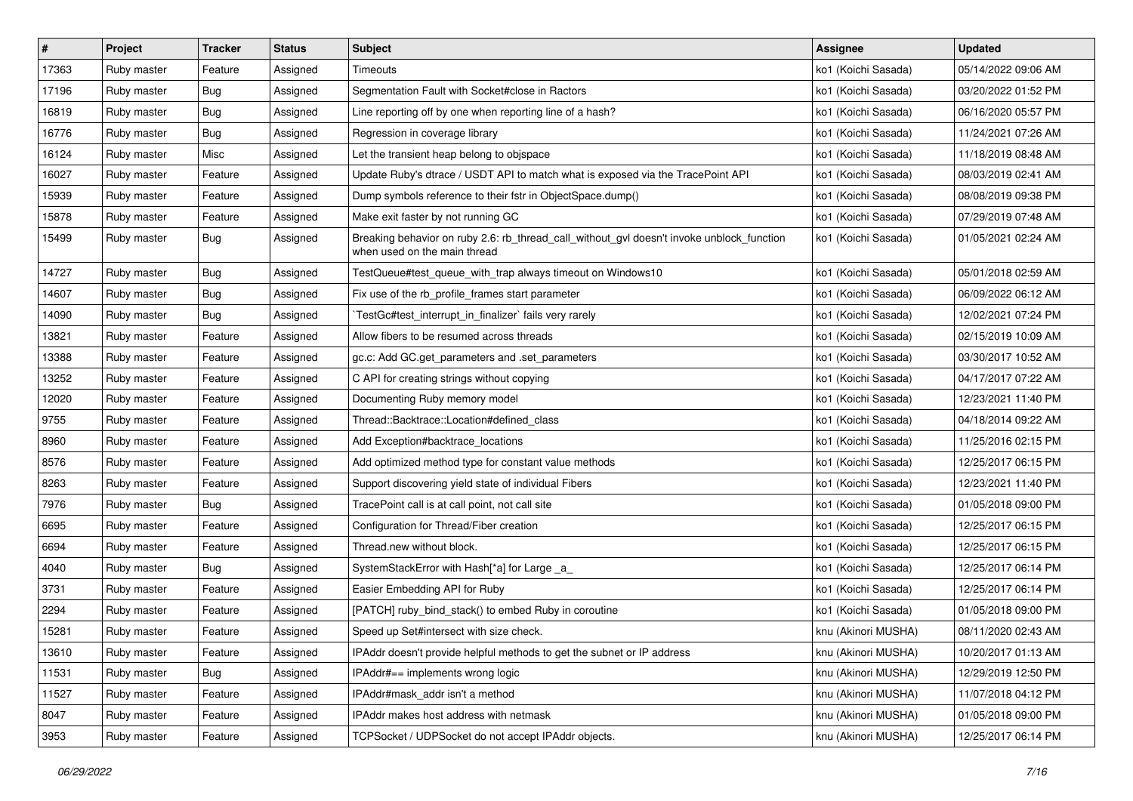| $\vert$ # | Project     | Tracker    | <b>Status</b> | Subject                                                                                                                   | Assignee            | <b>Updated</b>      |
|-----------|-------------|------------|---------------|---------------------------------------------------------------------------------------------------------------------------|---------------------|---------------------|
| 17363     | Ruby master | Feature    | Assigned      | Timeouts                                                                                                                  | ko1 (Koichi Sasada) | 05/14/2022 09:06 AM |
| 17196     | Ruby master | Bug        | Assigned      | Segmentation Fault with Socket#close in Ractors                                                                           | ko1 (Koichi Sasada) | 03/20/2022 01:52 PM |
| 16819     | Ruby master | Bug        | Assigned      | Line reporting off by one when reporting line of a hash?                                                                  | ko1 (Koichi Sasada) | 06/16/2020 05:57 PM |
| 16776     | Ruby master | <b>Bug</b> | Assigned      | Regression in coverage library                                                                                            | ko1 (Koichi Sasada) | 11/24/2021 07:26 AM |
| 16124     | Ruby master | Misc       | Assigned      | Let the transient heap belong to objspace                                                                                 | ko1 (Koichi Sasada) | 11/18/2019 08:48 AM |
| 16027     | Ruby master | Feature    | Assigned      | Update Ruby's dtrace / USDT API to match what is exposed via the TracePoint API                                           | ko1 (Koichi Sasada) | 08/03/2019 02:41 AM |
| 15939     | Ruby master | Feature    | Assigned      | Dump symbols reference to their fstr in ObjectSpace.dump()                                                                | ko1 (Koichi Sasada) | 08/08/2019 09:38 PM |
| 15878     | Ruby master | Feature    | Assigned      | Make exit faster by not running GC                                                                                        | ko1 (Koichi Sasada) | 07/29/2019 07:48 AM |
| 15499     | Ruby master | <b>Bug</b> | Assigned      | Breaking behavior on ruby 2.6: rb_thread_call_without_gvl doesn't invoke unblock_function<br>when used on the main thread | ko1 (Koichi Sasada) | 01/05/2021 02:24 AM |
| 14727     | Ruby master | Bug        | Assigned      | TestQueue#test_queue_with_trap always timeout on Windows10                                                                | ko1 (Koichi Sasada) | 05/01/2018 02:59 AM |
| 14607     | Ruby master | Bug        | Assigned      | Fix use of the rb_profile_frames start parameter                                                                          | ko1 (Koichi Sasada) | 06/09/2022 06:12 AM |
| 14090     | Ruby master | Bug        | Assigned      | TestGc#test_interrupt_in_finalizer` fails very rarely                                                                     | ko1 (Koichi Sasada) | 12/02/2021 07:24 PM |
| 13821     | Ruby master | Feature    | Assigned      | Allow fibers to be resumed across threads                                                                                 | ko1 (Koichi Sasada) | 02/15/2019 10:09 AM |
| 13388     | Ruby master | Feature    | Assigned      | gc.c: Add GC.get_parameters and .set_parameters                                                                           | ko1 (Koichi Sasada) | 03/30/2017 10:52 AM |
| 13252     | Ruby master | Feature    | Assigned      | C API for creating strings without copying                                                                                | ko1 (Koichi Sasada) | 04/17/2017 07:22 AM |
| 12020     | Ruby master | Feature    | Assigned      | Documenting Ruby memory model                                                                                             | ko1 (Koichi Sasada) | 12/23/2021 11:40 PM |
| 9755      | Ruby master | Feature    | Assigned      | Thread::Backtrace::Location#defined_class                                                                                 | ko1 (Koichi Sasada) | 04/18/2014 09:22 AM |
| 8960      | Ruby master | Feature    | Assigned      | Add Exception#backtrace_locations                                                                                         | ko1 (Koichi Sasada) | 11/25/2016 02:15 PM |
| 8576      | Ruby master | Feature    | Assigned      | Add optimized method type for constant value methods                                                                      | ko1 (Koichi Sasada) | 12/25/2017 06:15 PM |
| 8263      | Ruby master | Feature    | Assigned      | Support discovering yield state of individual Fibers                                                                      | ko1 (Koichi Sasada) | 12/23/2021 11:40 PM |
| 7976      | Ruby master | Bug        | Assigned      | TracePoint call is at call point, not call site                                                                           | ko1 (Koichi Sasada) | 01/05/2018 09:00 PM |
| 6695      | Ruby master | Feature    | Assigned      | Configuration for Thread/Fiber creation                                                                                   | ko1 (Koichi Sasada) | 12/25/2017 06:15 PM |
| 6694      | Ruby master | Feature    | Assigned      | Thread.new without block.                                                                                                 | ko1 (Koichi Sasada) | 12/25/2017 06:15 PM |
| 4040      | Ruby master | Bug        | Assigned      | SystemStackError with Hash[*a] for Large _a_                                                                              | ko1 (Koichi Sasada) | 12/25/2017 06:14 PM |
| 3731      | Ruby master | Feature    | Assigned      | Easier Embedding API for Ruby                                                                                             | ko1 (Koichi Sasada) | 12/25/2017 06:14 PM |
| 2294      | Ruby master | Feature    | Assigned      | [PATCH] ruby_bind_stack() to embed Ruby in coroutine                                                                      | ko1 (Koichi Sasada) | 01/05/2018 09:00 PM |
| 15281     | Ruby master | Feature    | Assigned      | Speed up Set#intersect with size check.                                                                                   | knu (Akinori MUSHA) | 08/11/2020 02:43 AM |
| 13610     | Ruby master | Feature    | Assigned      | IPAddr doesn't provide helpful methods to get the subnet or IP address                                                    | knu (Akinori MUSHA) | 10/20/2017 01:13 AM |
| 11531     | Ruby master | <b>Bug</b> | Assigned      | IPAddr#== implements wrong logic                                                                                          | knu (Akinori MUSHA) | 12/29/2019 12:50 PM |
| 11527     | Ruby master | Feature    | Assigned      | IPAddr#mask_addr isn't a method                                                                                           | knu (Akinori MUSHA) | 11/07/2018 04:12 PM |
| 8047      | Ruby master | Feature    | Assigned      | IPAddr makes host address with netmask                                                                                    | knu (Akinori MUSHA) | 01/05/2018 09:00 PM |
| 3953      | Ruby master | Feature    | Assigned      | TCPSocket / UDPSocket do not accept IPAddr objects.                                                                       | knu (Akinori MUSHA) | 12/25/2017 06:14 PM |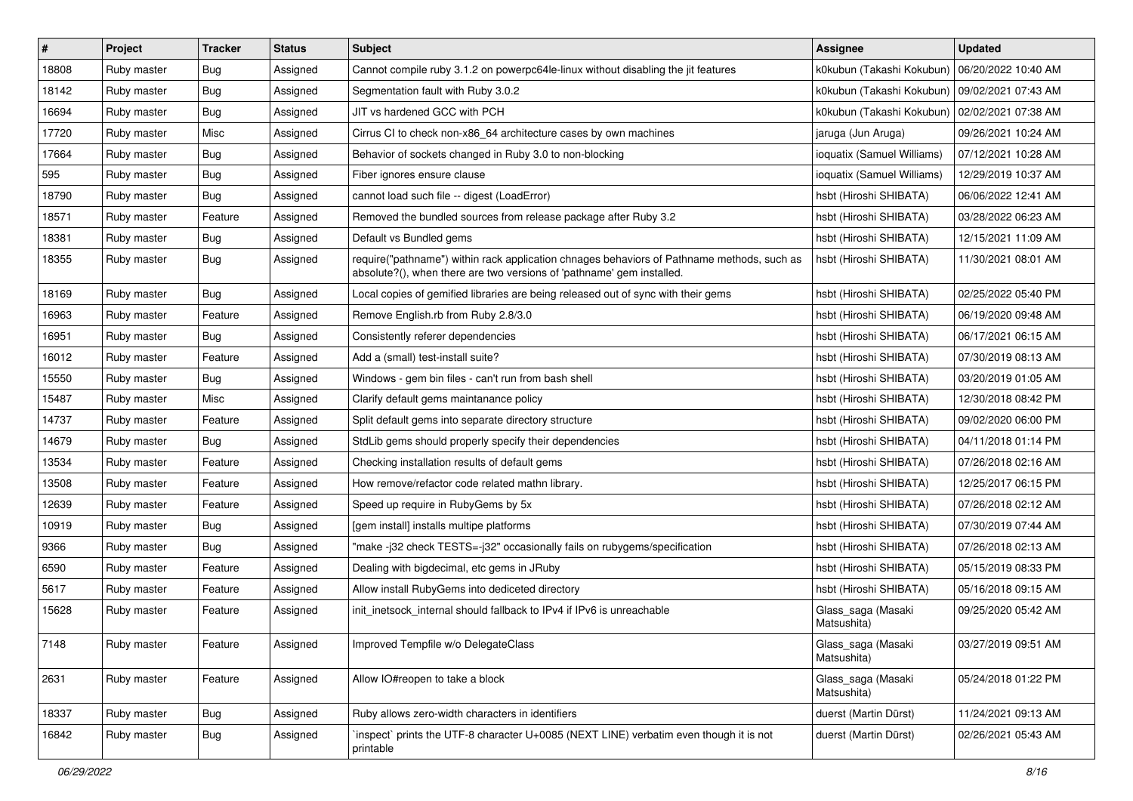| $\vert$ # | Project     | <b>Tracker</b> | <b>Status</b> | Subject                                                                                                                                                             | <b>Assignee</b>                   | <b>Updated</b>      |
|-----------|-------------|----------------|---------------|---------------------------------------------------------------------------------------------------------------------------------------------------------------------|-----------------------------------|---------------------|
| 18808     | Ruby master | Bug            | Assigned      | Cannot compile ruby 3.1.2 on powerpc64le-linux without disabling the jit features                                                                                   | k0kubun (Takashi Kokubun)         | 06/20/2022 10:40 AM |
| 18142     | Ruby master | Bug            | Assigned      | Segmentation fault with Ruby 3.0.2                                                                                                                                  | k0kubun (Takashi Kokubun)         | 09/02/2021 07:43 AM |
| 16694     | Ruby master | <b>Bug</b>     | Assigned      | JIT vs hardened GCC with PCH                                                                                                                                        | k0kubun (Takashi Kokubun)         | 02/02/2021 07:38 AM |
| 17720     | Ruby master | Misc           | Assigned      | Cirrus CI to check non-x86_64 architecture cases by own machines                                                                                                    | jaruga (Jun Aruga)                | 09/26/2021 10:24 AM |
| 17664     | Ruby master | Bug            | Assigned      | Behavior of sockets changed in Ruby 3.0 to non-blocking                                                                                                             | ioquatix (Samuel Williams)        | 07/12/2021 10:28 AM |
| 595       | Ruby master | <b>Bug</b>     | Assigned      | Fiber ignores ensure clause                                                                                                                                         | ioquatix (Samuel Williams)        | 12/29/2019 10:37 AM |
| 18790     | Ruby master | Bug            | Assigned      | cannot load such file -- digest (LoadError)                                                                                                                         | hsbt (Hiroshi SHIBATA)            | 06/06/2022 12:41 AM |
| 18571     | Ruby master | Feature        | Assigned      | Removed the bundled sources from release package after Ruby 3.2                                                                                                     | hsbt (Hiroshi SHIBATA)            | 03/28/2022 06:23 AM |
| 18381     | Ruby master | Bug            | Assigned      | Default vs Bundled gems                                                                                                                                             | hsbt (Hiroshi SHIBATA)            | 12/15/2021 11:09 AM |
| 18355     | Ruby master | <b>Bug</b>     | Assigned      | require("pathname") within rack application chnages behaviors of Pathname methods, such as<br>absolute?(), when there are two versions of 'pathname' gem installed. | hsbt (Hiroshi SHIBATA)            | 11/30/2021 08:01 AM |
| 18169     | Ruby master | Bug            | Assigned      | Local copies of gemified libraries are being released out of sync with their gems                                                                                   | hsbt (Hiroshi SHIBATA)            | 02/25/2022 05:40 PM |
| 16963     | Ruby master | Feature        | Assigned      | Remove English.rb from Ruby 2.8/3.0                                                                                                                                 | hsbt (Hiroshi SHIBATA)            | 06/19/2020 09:48 AM |
| 16951     | Ruby master | Bug            | Assigned      | Consistently referer dependencies                                                                                                                                   | hsbt (Hiroshi SHIBATA)            | 06/17/2021 06:15 AM |
| 16012     | Ruby master | Feature        | Assigned      | Add a (small) test-install suite?                                                                                                                                   | hsbt (Hiroshi SHIBATA)            | 07/30/2019 08:13 AM |
| 15550     | Ruby master | <b>Bug</b>     | Assigned      | Windows - gem bin files - can't run from bash shell                                                                                                                 | hsbt (Hiroshi SHIBATA)            | 03/20/2019 01:05 AM |
| 15487     | Ruby master | Misc           | Assigned      | Clarify default gems maintanance policy                                                                                                                             | hsbt (Hiroshi SHIBATA)            | 12/30/2018 08:42 PM |
| 14737     | Ruby master | Feature        | Assigned      | Split default gems into separate directory structure                                                                                                                | hsbt (Hiroshi SHIBATA)            | 09/02/2020 06:00 PM |
| 14679     | Ruby master | <b>Bug</b>     | Assigned      | StdLib gems should properly specify their dependencies                                                                                                              | hsbt (Hiroshi SHIBATA)            | 04/11/2018 01:14 PM |
| 13534     | Ruby master | Feature        | Assigned      | Checking installation results of default gems                                                                                                                       | hsbt (Hiroshi SHIBATA)            | 07/26/2018 02:16 AM |
| 13508     | Ruby master | Feature        | Assigned      | How remove/refactor code related mathn library.                                                                                                                     | hsbt (Hiroshi SHIBATA)            | 12/25/2017 06:15 PM |
| 12639     | Ruby master | Feature        | Assigned      | Speed up require in RubyGems by 5x                                                                                                                                  | hsbt (Hiroshi SHIBATA)            | 07/26/2018 02:12 AM |
| 10919     | Ruby master | , Bug          | Assigned      | [gem install] installs multipe platforms                                                                                                                            | hsbt (Hiroshi SHIBATA)            | 07/30/2019 07:44 AM |
| 9366      | Ruby master | Bug            | Assigned      | "make-j32 check TESTS=-j32" occasionally fails on rubygems/specification                                                                                            | hsbt (Hiroshi SHIBATA)            | 07/26/2018 02:13 AM |
| 6590      | Ruby master | Feature        | Assigned      | Dealing with bigdecimal, etc gems in JRuby                                                                                                                          | hsbt (Hiroshi SHIBATA)            | 05/15/2019 08:33 PM |
| 5617      | Ruby master | Feature        | Assigned      | Allow install RubyGems into dediceted directory                                                                                                                     | hsbt (Hiroshi SHIBATA)            | 05/16/2018 09:15 AM |
| 15628     | Ruby master | Feature        | Assigned      | init inetsock internal should fallback to IPv4 if IPv6 is unreachable                                                                                               | Glass_saga (Masaki<br>Matsushita) | 09/25/2020 05:42 AM |
| 7148      | Ruby master | Feature        | Assigned      | Improved Tempfile w/o DelegateClass                                                                                                                                 | Glass_saga (Masaki<br>Matsushita) | 03/27/2019 09:51 AM |
| 2631      | Ruby master | Feature        | Assigned      | Allow IO#reopen to take a block                                                                                                                                     | Glass_saga (Masaki<br>Matsushita) | 05/24/2018 01:22 PM |
| 18337     | Ruby master | Bug            | Assigned      | Ruby allows zero-width characters in identifiers                                                                                                                    | duerst (Martin Dürst)             | 11/24/2021 09:13 AM |
| 16842     | Ruby master | <b>Bug</b>     | Assigned      | inspect` prints the UTF-8 character U+0085 (NEXT LINE) verbatim even though it is not<br>printable                                                                  | duerst (Martin Dürst)             | 02/26/2021 05:43 AM |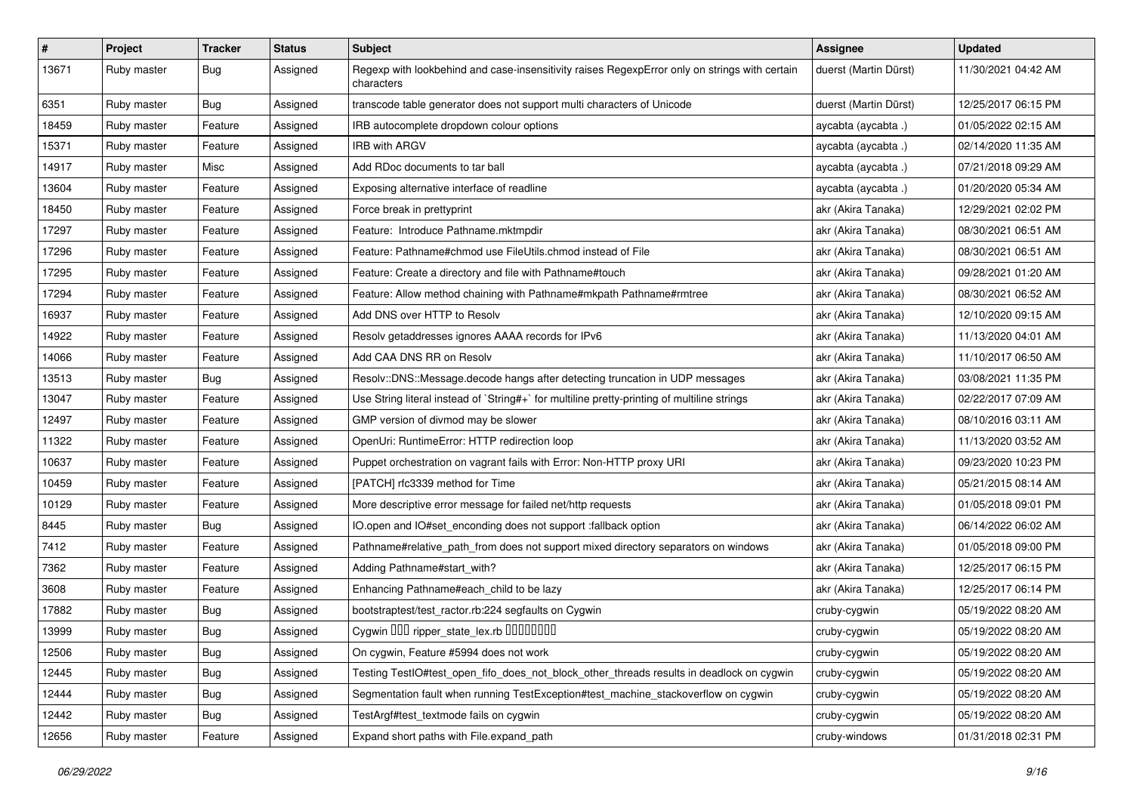| #     | Project     | <b>Tracker</b> | <b>Status</b> | <b>Subject</b>                                                                                              | <b>Assignee</b>       | <b>Updated</b>      |
|-------|-------------|----------------|---------------|-------------------------------------------------------------------------------------------------------------|-----------------------|---------------------|
| 13671 | Ruby master | Bug            | Assigned      | Regexp with lookbehind and case-insensitivity raises RegexpError only on strings with certain<br>characters | duerst (Martin Dürst) | 11/30/2021 04:42 AM |
| 6351  | Ruby master | Bug            | Assigned      | transcode table generator does not support multi characters of Unicode                                      | duerst (Martin Dürst) | 12/25/2017 06:15 PM |
| 18459 | Ruby master | Feature        | Assigned      | IRB autocomplete dropdown colour options                                                                    | aycabta (aycabta .)   | 01/05/2022 02:15 AM |
| 15371 | Ruby master | Feature        | Assigned      | <b>IRB with ARGV</b>                                                                                        | aycabta (aycabta .)   | 02/14/2020 11:35 AM |
| 14917 | Ruby master | Misc           | Assigned      | Add RDoc documents to tar ball                                                                              | aycabta (aycabta .)   | 07/21/2018 09:29 AM |
| 13604 | Ruby master | Feature        | Assigned      | Exposing alternative interface of readline                                                                  | aycabta (aycabta .)   | 01/20/2020 05:34 AM |
| 18450 | Ruby master | Feature        | Assigned      | Force break in prettyprint                                                                                  | akr (Akira Tanaka)    | 12/29/2021 02:02 PM |
| 17297 | Ruby master | Feature        | Assigned      | Feature: Introduce Pathname.mktmpdir                                                                        | akr (Akira Tanaka)    | 08/30/2021 06:51 AM |
| 17296 | Ruby master | Feature        | Assigned      | Feature: Pathname#chmod use FileUtils.chmod instead of File                                                 | akr (Akira Tanaka)    | 08/30/2021 06:51 AM |
| 17295 | Ruby master | Feature        | Assigned      | Feature: Create a directory and file with Pathname#touch                                                    | akr (Akira Tanaka)    | 09/28/2021 01:20 AM |
| 17294 | Ruby master | Feature        | Assigned      | Feature: Allow method chaining with Pathname#mkpath Pathname#rmtree                                         | akr (Akira Tanaka)    | 08/30/2021 06:52 AM |
| 16937 | Ruby master | Feature        | Assigned      | Add DNS over HTTP to Resolv                                                                                 | akr (Akira Tanaka)    | 12/10/2020 09:15 AM |
| 14922 | Ruby master | Feature        | Assigned      | Resolv getaddresses ignores AAAA records for IPv6                                                           | akr (Akira Tanaka)    | 11/13/2020 04:01 AM |
| 14066 | Ruby master | Feature        | Assigned      | Add CAA DNS RR on Resolv                                                                                    | akr (Akira Tanaka)    | 11/10/2017 06:50 AM |
| 13513 | Ruby master | Bug            | Assigned      | Resolv::DNS::Message.decode hangs after detecting truncation in UDP messages                                | akr (Akira Tanaka)    | 03/08/2021 11:35 PM |
| 13047 | Ruby master | Feature        | Assigned      | Use String literal instead of `String#+` for multiline pretty-printing of multiline strings                 | akr (Akira Tanaka)    | 02/22/2017 07:09 AM |
| 12497 | Ruby master | Feature        | Assigned      | GMP version of divmod may be slower                                                                         | akr (Akira Tanaka)    | 08/10/2016 03:11 AM |
| 11322 | Ruby master | Feature        | Assigned      | OpenUri: RuntimeError: HTTP redirection loop                                                                | akr (Akira Tanaka)    | 11/13/2020 03:52 AM |
| 10637 | Ruby master | Feature        | Assigned      | Puppet orchestration on vagrant fails with Error: Non-HTTP proxy URI                                        | akr (Akira Tanaka)    | 09/23/2020 10:23 PM |
| 10459 | Ruby master | Feature        | Assigned      | [PATCH] rfc3339 method for Time                                                                             | akr (Akira Tanaka)    | 05/21/2015 08:14 AM |
| 10129 | Ruby master | Feature        | Assigned      | More descriptive error message for failed net/http requests                                                 | akr (Akira Tanaka)    | 01/05/2018 09:01 PM |
| 8445  | Ruby master | Bug            | Assigned      | IO.open and IO#set_enconding does not support :fallback option                                              | akr (Akira Tanaka)    | 06/14/2022 06:02 AM |
| 7412  | Ruby master | Feature        | Assigned      | Pathname#relative_path_from does not support mixed directory separators on windows                          | akr (Akira Tanaka)    | 01/05/2018 09:00 PM |
| 7362  | Ruby master | Feature        | Assigned      | Adding Pathname#start_with?                                                                                 | akr (Akira Tanaka)    | 12/25/2017 06:15 PM |
| 3608  | Ruby master | Feature        | Assigned      | Enhancing Pathname#each_child to be lazy                                                                    | akr (Akira Tanaka)    | 12/25/2017 06:14 PM |
| 17882 | Ruby master | Bug            | Assigned      | bootstraptest/test_ractor.rb:224 segfaults on Cygwin                                                        | cruby-cygwin          | 05/19/2022 08:20 AM |
| 13999 | Ruby master | Bug            | Assigned      | Cygwin DDD ripper_state_lex.rb DDDDDDD                                                                      | cruby-cygwin          | 05/19/2022 08:20 AM |
| 12506 | Ruby master | <b>Bug</b>     | Assigned      | On cygwin, Feature #5994 does not work                                                                      | cruby-cygwin          | 05/19/2022 08:20 AM |
| 12445 | Ruby master | Bug            | Assigned      | Testing TestIO#test_open_fifo_does_not_block_other_threads results in deadlock on cygwin                    | cruby-cygwin          | 05/19/2022 08:20 AM |
| 12444 | Ruby master | <b>Bug</b>     | Assigned      | Segmentation fault when running TestException#test_machine_stackoverflow on cygwin                          | cruby-cygwin          | 05/19/2022 08:20 AM |
| 12442 | Ruby master | <b>Bug</b>     | Assigned      | TestArgf#test_textmode fails on cygwin                                                                      | cruby-cygwin          | 05/19/2022 08:20 AM |
| 12656 | Ruby master | Feature        | Assigned      | Expand short paths with File.expand_path                                                                    | cruby-windows         | 01/31/2018 02:31 PM |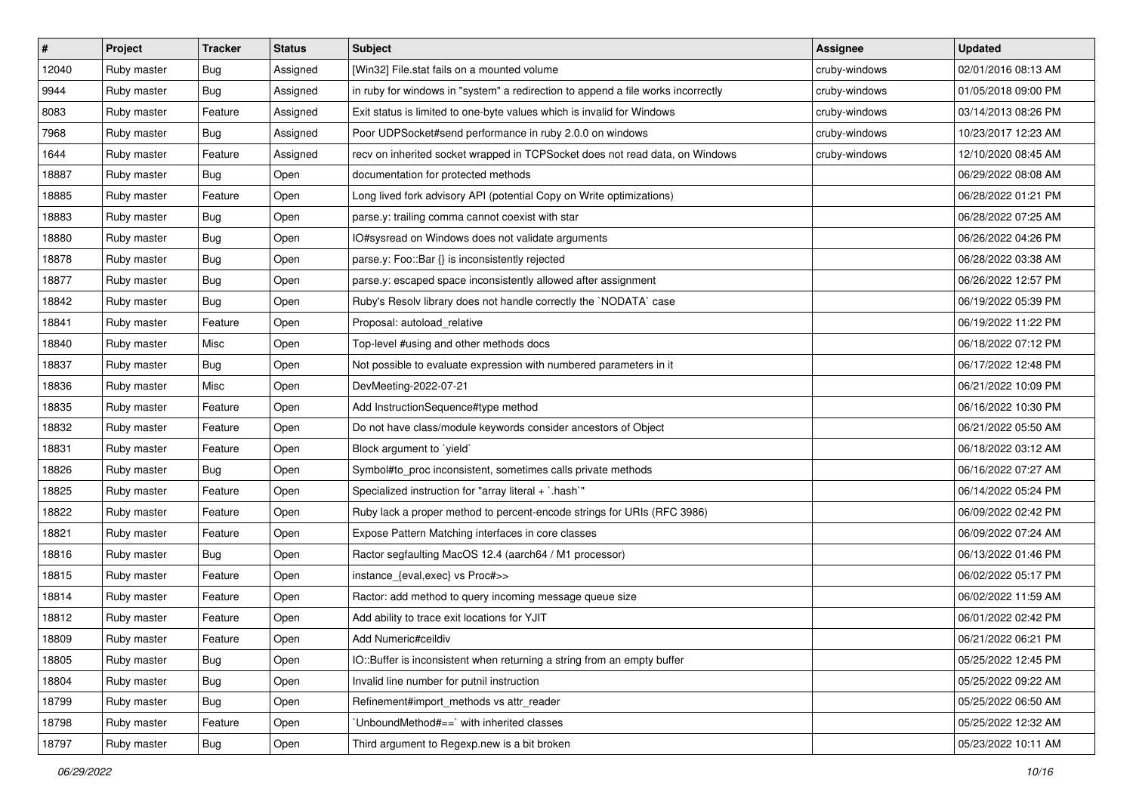| $\vert$ # | Project     | <b>Tracker</b> | <b>Status</b> | <b>Subject</b>                                                                   | <b>Assignee</b> | <b>Updated</b>      |
|-----------|-------------|----------------|---------------|----------------------------------------------------------------------------------|-----------------|---------------------|
| 12040     | Ruby master | Bug            | Assigned      | [Win32] File.stat fails on a mounted volume                                      | cruby-windows   | 02/01/2016 08:13 AM |
| 9944      | Ruby master | <b>Bug</b>     | Assigned      | in ruby for windows in "system" a redirection to append a file works incorrectly | cruby-windows   | 01/05/2018 09:00 PM |
| 8083      | Ruby master | Feature        | Assigned      | Exit status is limited to one-byte values which is invalid for Windows           | cruby-windows   | 03/14/2013 08:26 PM |
| 7968      | Ruby master | Bug            | Assigned      | Poor UDPSocket#send performance in ruby 2.0.0 on windows                         | cruby-windows   | 10/23/2017 12:23 AM |
| 1644      | Ruby master | Feature        | Assigned      | recv on inherited socket wrapped in TCPSocket does not read data, on Windows     | cruby-windows   | 12/10/2020 08:45 AM |
| 18887     | Ruby master | <b>Bug</b>     | Open          | documentation for protected methods                                              |                 | 06/29/2022 08:08 AM |
| 18885     | Ruby master | Feature        | Open          | Long lived fork advisory API (potential Copy on Write optimizations)             |                 | 06/28/2022 01:21 PM |
| 18883     | Ruby master | <b>Bug</b>     | Open          | parse.y: trailing comma cannot coexist with star                                 |                 | 06/28/2022 07:25 AM |
| 18880     | Ruby master | <b>Bug</b>     | Open          | IO#sysread on Windows does not validate arguments                                |                 | 06/26/2022 04:26 PM |
| 18878     | Ruby master | Bug            | Open          | parse.y: Foo::Bar {} is inconsistently rejected                                  |                 | 06/28/2022 03:38 AM |
| 18877     | Ruby master | Bug            | Open          | parse.y: escaped space inconsistently allowed after assignment                   |                 | 06/26/2022 12:57 PM |
| 18842     | Ruby master | Bug            | Open          | Ruby's Resolv library does not handle correctly the `NODATA` case                |                 | 06/19/2022 05:39 PM |
| 18841     | Ruby master | Feature        | Open          | Proposal: autoload_relative                                                      |                 | 06/19/2022 11:22 PM |
| 18840     | Ruby master | Misc           | Open          | Top-level #using and other methods docs                                          |                 | 06/18/2022 07:12 PM |
| 18837     | Ruby master | Bug            | Open          | Not possible to evaluate expression with numbered parameters in it               |                 | 06/17/2022 12:48 PM |
| 18836     | Ruby master | Misc           | Open          | DevMeeting-2022-07-21                                                            |                 | 06/21/2022 10:09 PM |
| 18835     | Ruby master | Feature        | Open          | Add InstructionSequence#type method                                              |                 | 06/16/2022 10:30 PM |
| 18832     | Ruby master | Feature        | Open          | Do not have class/module keywords consider ancestors of Object                   |                 | 06/21/2022 05:50 AM |
| 18831     | Ruby master | Feature        | Open          | Block argument to `yield`                                                        |                 | 06/18/2022 03:12 AM |
| 18826     | Ruby master | Bug            | Open          | Symbol#to_proc inconsistent, sometimes calls private methods                     |                 | 06/16/2022 07:27 AM |
| 18825     | Ruby master | Feature        | Open          | Specialized instruction for "array literal + `.hash`"                            |                 | 06/14/2022 05:24 PM |
| 18822     | Ruby master | Feature        | Open          | Ruby lack a proper method to percent-encode strings for URIs (RFC 3986)          |                 | 06/09/2022 02:42 PM |
| 18821     | Ruby master | Feature        | Open          | Expose Pattern Matching interfaces in core classes                               |                 | 06/09/2022 07:24 AM |
| 18816     | Ruby master | Bug            | Open          | Ractor segfaulting MacOS 12.4 (aarch64 / M1 processor)                           |                 | 06/13/2022 01:46 PM |
| 18815     | Ruby master | Feature        | Open          | instance_{eval,exec} vs Proc#>>                                                  |                 | 06/02/2022 05:17 PM |
| 18814     | Ruby master | Feature        | Open          | Ractor: add method to query incoming message queue size                          |                 | 06/02/2022 11:59 AM |
| 18812     | Ruby master | Feature        | Open          | Add ability to trace exit locations for YJIT                                     |                 | 06/01/2022 02:42 PM |
| 18809     | Ruby master | Feature        | Open          | Add Numeric#ceildiv                                                              |                 | 06/21/2022 06:21 PM |
| 18805     | Ruby master | Bug            | Open          | IO::Buffer is inconsistent when returning a string from an empty buffer          |                 | 05/25/2022 12:45 PM |
| 18804     | Ruby master | Bug            | Open          | Invalid line number for putnil instruction                                       |                 | 05/25/2022 09:22 AM |
| 18799     | Ruby master | Bug            | Open          | Refinement#import_methods vs attr_reader                                         |                 | 05/25/2022 06:50 AM |
| 18798     | Ruby master | Feature        | Open          | 'UnboundMethod#==' with inherited classes                                        |                 | 05/25/2022 12:32 AM |
| 18797     | Ruby master | Bug            | Open          | Third argument to Regexp.new is a bit broken                                     |                 | 05/23/2022 10:11 AM |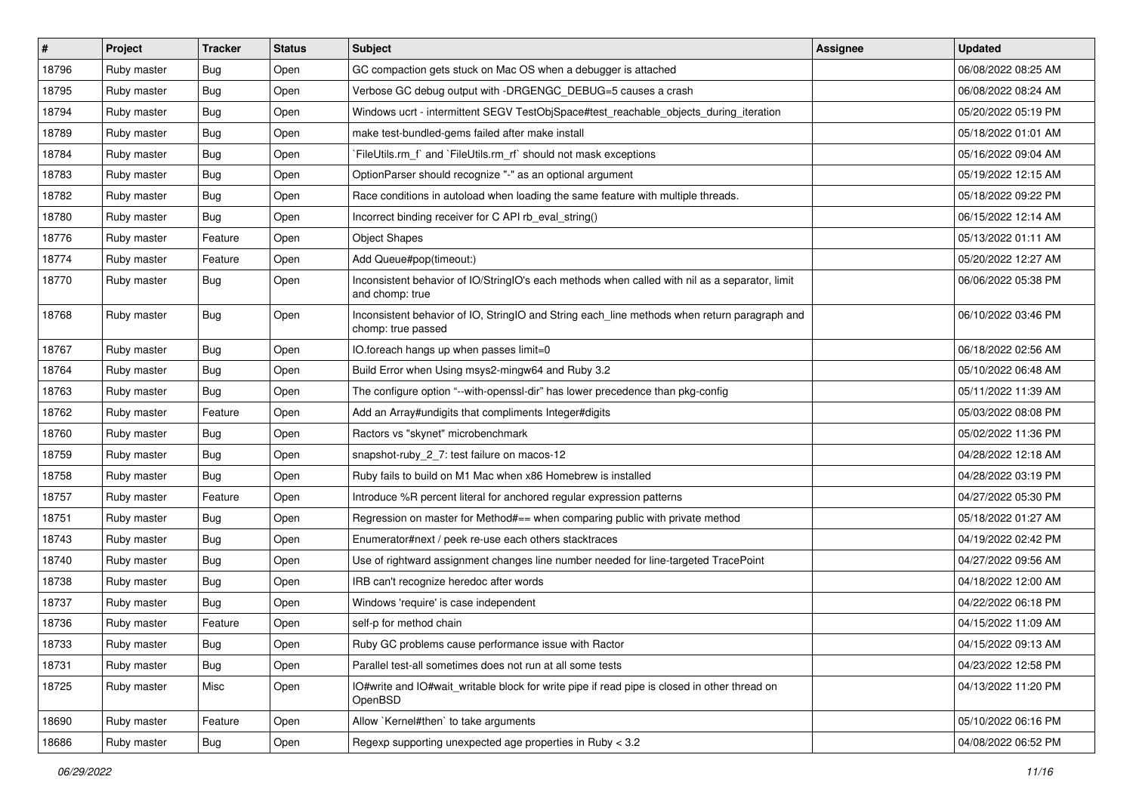| #     | Project     | Tracker    | <b>Status</b> | Subject                                                                                                            | Assignee | <b>Updated</b>      |
|-------|-------------|------------|---------------|--------------------------------------------------------------------------------------------------------------------|----------|---------------------|
| 18796 | Ruby master | Bug        | Open          | GC compaction gets stuck on Mac OS when a debugger is attached                                                     |          | 06/08/2022 08:25 AM |
| 18795 | Ruby master | Bug        | Open          | Verbose GC debug output with -DRGENGC_DEBUG=5 causes a crash                                                       |          | 06/08/2022 08:24 AM |
| 18794 | Ruby master | <b>Bug</b> | Open          | Windows ucrt - intermittent SEGV TestObjSpace#test_reachable_objects_during_iteration                              |          | 05/20/2022 05:19 PM |
| 18789 | Ruby master | Bug        | Open          | make test-bundled-gems failed after make install                                                                   |          | 05/18/2022 01:01 AM |
| 18784 | Ruby master | <b>Bug</b> | Open          | `FileUtils.rm_f` and `FileUtils.rm_rf` should not mask exceptions                                                  |          | 05/16/2022 09:04 AM |
| 18783 | Ruby master | Bug        | Open          | OptionParser should recognize "-" as an optional argument                                                          |          | 05/19/2022 12:15 AM |
| 18782 | Ruby master | <b>Bug</b> | Open          | Race conditions in autoload when loading the same feature with multiple threads.                                   |          | 05/18/2022 09:22 PM |
| 18780 | Ruby master | Bug        | Open          | Incorrect binding receiver for C API rb_eval_string()                                                              |          | 06/15/2022 12:14 AM |
| 18776 | Ruby master | Feature    | Open          | <b>Object Shapes</b>                                                                                               |          | 05/13/2022 01:11 AM |
| 18774 | Ruby master | Feature    | Open          | Add Queue#pop(timeout:)                                                                                            |          | 05/20/2022 12:27 AM |
| 18770 | Ruby master | Bug        | Open          | Inconsistent behavior of IO/StringIO's each methods when called with nil as a separator, limit<br>and chomp: true  |          | 06/06/2022 05:38 PM |
| 18768 | Ruby master | Bug        | Open          | Inconsistent behavior of IO, StringIO and String each_line methods when return paragraph and<br>chomp: true passed |          | 06/10/2022 03:46 PM |
| 18767 | Ruby master | Bug        | Open          | IO.foreach hangs up when passes limit=0                                                                            |          | 06/18/2022 02:56 AM |
| 18764 | Ruby master | Bug        | Open          | Build Error when Using msys2-mingw64 and Ruby 3.2                                                                  |          | 05/10/2022 06:48 AM |
| 18763 | Ruby master | Bug        | Open          | The configure option "--with-openssl-dir" has lower precedence than pkg-config                                     |          | 05/11/2022 11:39 AM |
| 18762 | Ruby master | Feature    | Open          | Add an Array#undigits that compliments Integer#digits                                                              |          | 05/03/2022 08:08 PM |
| 18760 | Ruby master | <b>Bug</b> | Open          | Ractors vs "skynet" microbenchmark                                                                                 |          | 05/02/2022 11:36 PM |
| 18759 | Ruby master | Bug        | Open          | snapshot-ruby_2_7: test failure on macos-12                                                                        |          | 04/28/2022 12:18 AM |
| 18758 | Ruby master | Bug        | Open          | Ruby fails to build on M1 Mac when x86 Homebrew is installed                                                       |          | 04/28/2022 03:19 PM |
| 18757 | Ruby master | Feature    | Open          | Introduce %R percent literal for anchored regular expression patterns                                              |          | 04/27/2022 05:30 PM |
| 18751 | Ruby master | Bug        | Open          | Regression on master for Method#== when comparing public with private method                                       |          | 05/18/2022 01:27 AM |
| 18743 | Ruby master | Bug        | Open          | Enumerator#next / peek re-use each others stacktraces                                                              |          | 04/19/2022 02:42 PM |
| 18740 | Ruby master | Bug        | Open          | Use of rightward assignment changes line number needed for line-targeted TracePoint                                |          | 04/27/2022 09:56 AM |
| 18738 | Ruby master | <b>Bug</b> | Open          | IRB can't recognize heredoc after words                                                                            |          | 04/18/2022 12:00 AM |
| 18737 | Ruby master | Bug        | Open          | Windows 'require' is case independent                                                                              |          | 04/22/2022 06:18 PM |
| 18736 | Ruby master | Feature    | Open          | self-p for method chain                                                                                            |          | 04/15/2022 11:09 AM |
| 18733 | Ruby master | Bug        | Open          | Ruby GC problems cause performance issue with Ractor                                                               |          | 04/15/2022 09:13 AM |
| 18731 | Ruby master | <b>Bug</b> | Open          | Parallel test-all sometimes does not run at all some tests                                                         |          | 04/23/2022 12:58 PM |
| 18725 | Ruby master | Misc       | Open          | IO#write and IO#wait_writable block for write pipe if read pipe is closed in other thread on<br>OpenBSD            |          | 04/13/2022 11:20 PM |
| 18690 | Ruby master | Feature    | Open          | Allow `Kernel#then` to take arguments                                                                              |          | 05/10/2022 06:16 PM |
| 18686 | Ruby master | Bug        | Open          | Regexp supporting unexpected age properties in Ruby < 3.2                                                          |          | 04/08/2022 06:52 PM |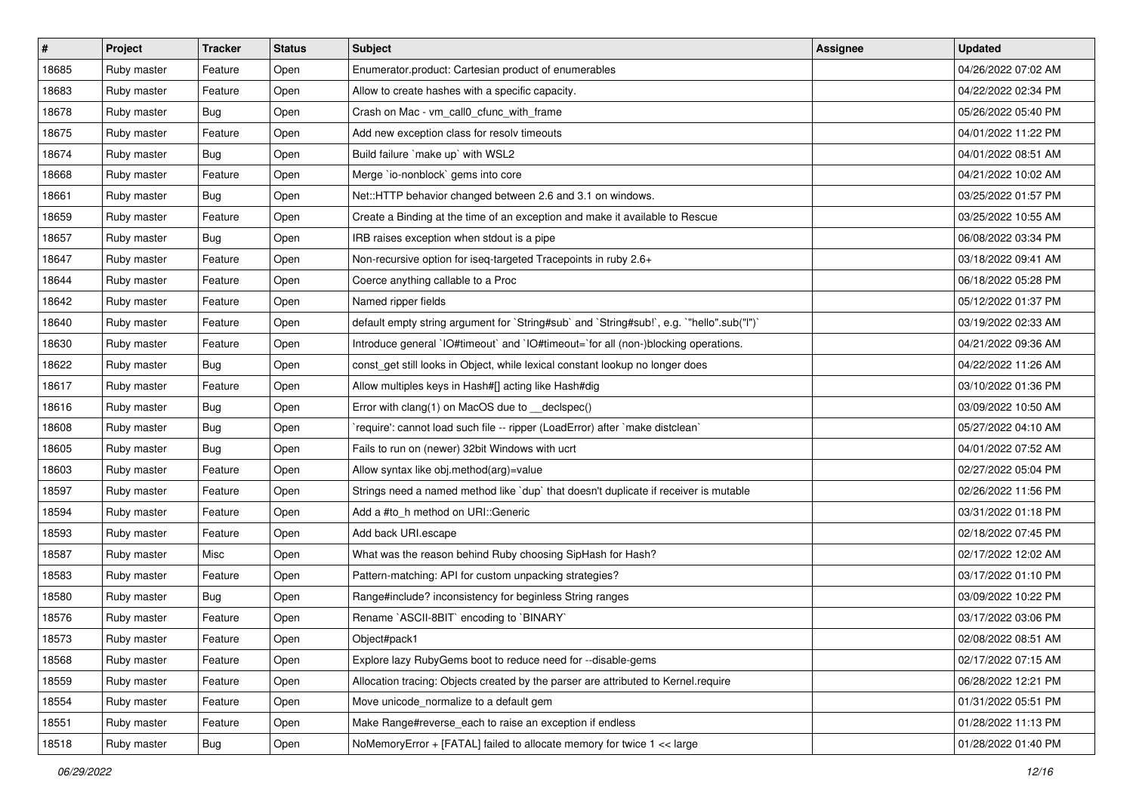| $\sharp$ | Project     | <b>Tracker</b> | <b>Status</b> | Subject                                                                                   | <b>Assignee</b> | <b>Updated</b>      |
|----------|-------------|----------------|---------------|-------------------------------------------------------------------------------------------|-----------------|---------------------|
| 18685    | Ruby master | Feature        | Open          | Enumerator.product: Cartesian product of enumerables                                      |                 | 04/26/2022 07:02 AM |
| 18683    | Ruby master | Feature        | Open          | Allow to create hashes with a specific capacity.                                          |                 | 04/22/2022 02:34 PM |
| 18678    | Ruby master | Bug            | Open          | Crash on Mac - vm_call0_cfunc_with_frame                                                  |                 | 05/26/2022 05:40 PM |
| 18675    | Ruby master | Feature        | Open          | Add new exception class for resolv timeouts                                               |                 | 04/01/2022 11:22 PM |
| 18674    | Ruby master | Bug            | Open          | Build failure `make up` with WSL2                                                         |                 | 04/01/2022 08:51 AM |
| 18668    | Ruby master | Feature        | Open          | Merge `io-nonblock` gems into core                                                        |                 | 04/21/2022 10:02 AM |
| 18661    | Ruby master | Bug            | Open          | Net::HTTP behavior changed between 2.6 and 3.1 on windows.                                |                 | 03/25/2022 01:57 PM |
| 18659    | Ruby master | Feature        | Open          | Create a Binding at the time of an exception and make it available to Rescue              |                 | 03/25/2022 10:55 AM |
| 18657    | Ruby master | Bug            | Open          | IRB raises exception when stdout is a pipe                                                |                 | 06/08/2022 03:34 PM |
| 18647    | Ruby master | Feature        | Open          | Non-recursive option for iseq-targeted Tracepoints in ruby 2.6+                           |                 | 03/18/2022 09:41 AM |
| 18644    | Ruby master | Feature        | Open          | Coerce anything callable to a Proc                                                        |                 | 06/18/2022 05:28 PM |
| 18642    | Ruby master | Feature        | Open          | Named ripper fields                                                                       |                 | 05/12/2022 01:37 PM |
| 18640    | Ruby master | Feature        | Open          | default empty string argument for `String#sub` and `String#sub!`, e.g. `"hello".sub("I")` |                 | 03/19/2022 02:33 AM |
| 18630    | Ruby master | Feature        | Open          | Introduce general `IO#timeout` and `IO#timeout=`for all (non-)blocking operations.        |                 | 04/21/2022 09:36 AM |
| 18622    | Ruby master | Bug            | Open          | const_get still looks in Object, while lexical constant lookup no longer does             |                 | 04/22/2022 11:26 AM |
| 18617    | Ruby master | Feature        | Open          | Allow multiples keys in Hash#[] acting like Hash#dig                                      |                 | 03/10/2022 01:36 PM |
| 18616    | Ruby master | Bug            | Open          | Error with clang(1) on MacOS due to _declspec()                                           |                 | 03/09/2022 10:50 AM |
| 18608    | Ruby master | Bug            | Open          | `require': cannot load such file -- ripper (LoadError) after `make distclean`             |                 | 05/27/2022 04:10 AM |
| 18605    | Ruby master | Bug            | Open          | Fails to run on (newer) 32bit Windows with ucrt                                           |                 | 04/01/2022 07:52 AM |
| 18603    | Ruby master | Feature        | Open          | Allow syntax like obj.method(arg)=value                                                   |                 | 02/27/2022 05:04 PM |
| 18597    | Ruby master | Feature        | Open          | Strings need a named method like `dup` that doesn't duplicate if receiver is mutable      |                 | 02/26/2022 11:56 PM |
| 18594    | Ruby master | Feature        | Open          | Add a #to_h method on URI::Generic                                                        |                 | 03/31/2022 01:18 PM |
| 18593    | Ruby master | Feature        | Open          | Add back URI.escape                                                                       |                 | 02/18/2022 07:45 PM |
| 18587    | Ruby master | Misc           | Open          | What was the reason behind Ruby choosing SipHash for Hash?                                |                 | 02/17/2022 12:02 AM |
| 18583    | Ruby master | Feature        | Open          | Pattern-matching: API for custom unpacking strategies?                                    |                 | 03/17/2022 01:10 PM |
| 18580    | Ruby master | Bug            | Open          | Range#include? inconsistency for beginless String ranges                                  |                 | 03/09/2022 10:22 PM |
| 18576    | Ruby master | Feature        | Open          | Rename `ASCII-8BIT` encoding to `BINARY`                                                  |                 | 03/17/2022 03:06 PM |
| 18573    | Ruby master | Feature        | Open          | Object#pack1                                                                              |                 | 02/08/2022 08:51 AM |
| 18568    | Ruby master | Feature        | Open          | Explore lazy RubyGems boot to reduce need for --disable-gems                              |                 | 02/17/2022 07:15 AM |
| 18559    | Ruby master | Feature        | Open          | Allocation tracing: Objects created by the parser are attributed to Kernel.require        |                 | 06/28/2022 12:21 PM |
| 18554    | Ruby master | Feature        | Open          | Move unicode_normalize to a default gem                                                   |                 | 01/31/2022 05:51 PM |
| 18551    | Ruby master | Feature        | Open          | Make Range#reverse_each to raise an exception if endless                                  |                 | 01/28/2022 11:13 PM |
| 18518    | Ruby master | Bug            | Open          | NoMemoryError + [FATAL] failed to allocate memory for twice 1 << large                    |                 | 01/28/2022 01:40 PM |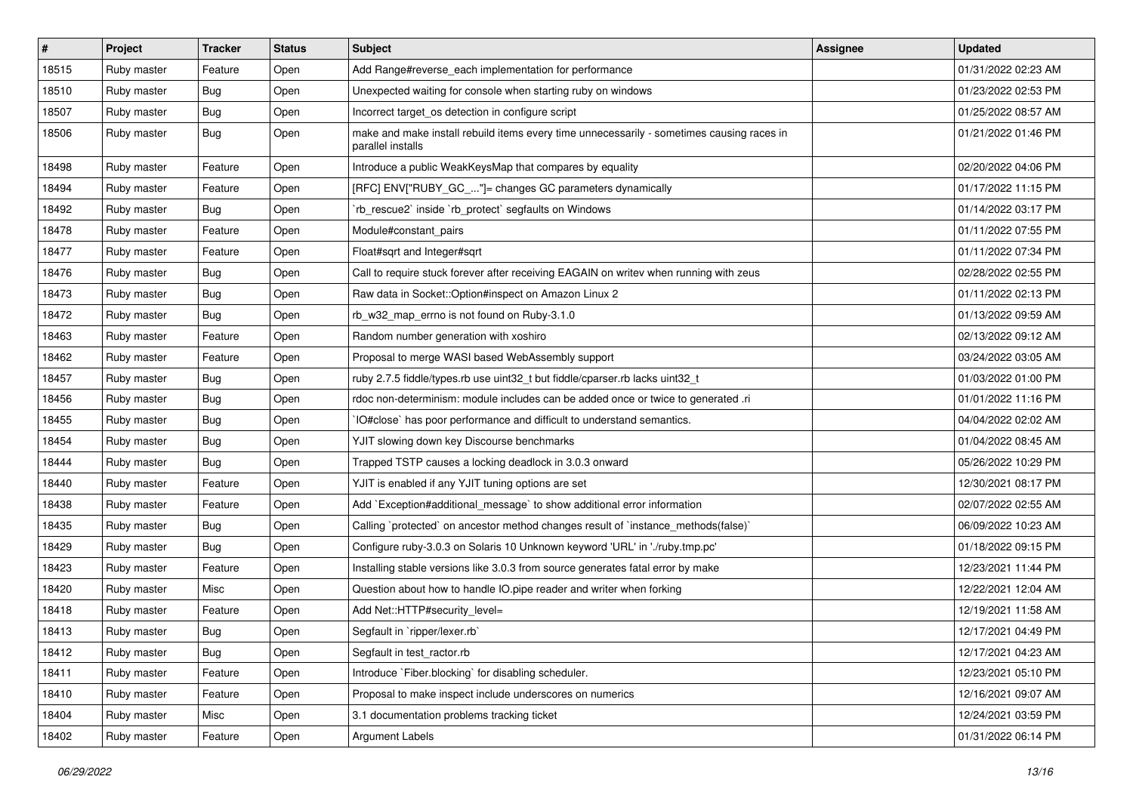| $\pmb{\#}$ | Project     | <b>Tracker</b> | <b>Status</b> | Subject                                                                                                        | Assignee | <b>Updated</b>      |
|------------|-------------|----------------|---------------|----------------------------------------------------------------------------------------------------------------|----------|---------------------|
| 18515      | Ruby master | Feature        | Open          | Add Range#reverse_each implementation for performance                                                          |          | 01/31/2022 02:23 AM |
| 18510      | Ruby master | Bug            | Open          | Unexpected waiting for console when starting ruby on windows                                                   |          | 01/23/2022 02:53 PM |
| 18507      | Ruby master | <b>Bug</b>     | Open          | Incorrect target_os detection in configure script                                                              |          | 01/25/2022 08:57 AM |
| 18506      | Ruby master | Bug            | Open          | make and make install rebuild items every time unnecessarily - sometimes causing races in<br>parallel installs |          | 01/21/2022 01:46 PM |
| 18498      | Ruby master | Feature        | Open          | Introduce a public WeakKeysMap that compares by equality                                                       |          | 02/20/2022 04:06 PM |
| 18494      | Ruby master | Feature        | Open          | [RFC] ENV["RUBY_GC_"]= changes GC parameters dynamically                                                       |          | 01/17/2022 11:15 PM |
| 18492      | Ruby master | <b>Bug</b>     | Open          | 'rb_rescue2' inside 'rb_protect' segfaults on Windows                                                          |          | 01/14/2022 03:17 PM |
| 18478      | Ruby master | Feature        | Open          | Module#constant_pairs                                                                                          |          | 01/11/2022 07:55 PM |
| 18477      | Ruby master | Feature        | Open          | Float#sqrt and Integer#sqrt                                                                                    |          | 01/11/2022 07:34 PM |
| 18476      | Ruby master | <b>Bug</b>     | Open          | Call to require stuck forever after receiving EAGAIN on writev when running with zeus                          |          | 02/28/2022 02:55 PM |
| 18473      | Ruby master | <b>Bug</b>     | Open          | Raw data in Socket:: Option#inspect on Amazon Linux 2                                                          |          | 01/11/2022 02:13 PM |
| 18472      | Ruby master | <b>Bug</b>     | Open          | rb_w32_map_errno is not found on Ruby-3.1.0                                                                    |          | 01/13/2022 09:59 AM |
| 18463      | Ruby master | Feature        | Open          | Random number generation with xoshiro                                                                          |          | 02/13/2022 09:12 AM |
| 18462      | Ruby master | Feature        | Open          | Proposal to merge WASI based WebAssembly support                                                               |          | 03/24/2022 03:05 AM |
| 18457      | Ruby master | <b>Bug</b>     | Open          | ruby 2.7.5 fiddle/types.rb use uint32_t but fiddle/cparser.rb lacks uint32_t                                   |          | 01/03/2022 01:00 PM |
| 18456      | Ruby master | Bug            | Open          | rdoc non-determinism: module includes can be added once or twice to generated .ri                              |          | 01/01/2022 11:16 PM |
| 18455      | Ruby master | Bug            | Open          | IO#close` has poor performance and difficult to understand semantics.                                          |          | 04/04/2022 02:02 AM |
| 18454      | Ruby master | <b>Bug</b>     | Open          | YJIT slowing down key Discourse benchmarks                                                                     |          | 01/04/2022 08:45 AM |
| 18444      | Ruby master | Bug            | Open          | Trapped TSTP causes a locking deadlock in 3.0.3 onward                                                         |          | 05/26/2022 10:29 PM |
| 18440      | Ruby master | Feature        | Open          | YJIT is enabled if any YJIT tuning options are set                                                             |          | 12/30/2021 08:17 PM |
| 18438      | Ruby master | Feature        | Open          | Add `Exception#additional_message` to show additional error information                                        |          | 02/07/2022 02:55 AM |
| 18435      | Ruby master | Bug            | Open          | Calling `protected` on ancestor method changes result of `instance_methods(false)`                             |          | 06/09/2022 10:23 AM |
| 18429      | Ruby master | <b>Bug</b>     | Open          | Configure ruby-3.0.3 on Solaris 10 Unknown keyword 'URL' in './ruby.tmp.pc'                                    |          | 01/18/2022 09:15 PM |
| 18423      | Ruby master | Feature        | Open          | Installing stable versions like 3.0.3 from source generates fatal error by make                                |          | 12/23/2021 11:44 PM |
| 18420      | Ruby master | Misc           | Open          | Question about how to handle IO.pipe reader and writer when forking                                            |          | 12/22/2021 12:04 AM |
| 18418      | Ruby master | Feature        | Open          | Add Net::HTTP#security_level=                                                                                  |          | 12/19/2021 11:58 AM |
| 18413      | Ruby master | <b>Bug</b>     | Open          | Segfault in `ripper/lexer.rb`                                                                                  |          | 12/17/2021 04:49 PM |
| 18412      | Ruby master | Bug            | Open          | Segfault in test_ractor.rb                                                                                     |          | 12/17/2021 04:23 AM |
| 18411      | Ruby master | Feature        | Open          | Introduce `Fiber.blocking` for disabling scheduler.                                                            |          | 12/23/2021 05:10 PM |
| 18410      | Ruby master | Feature        | Open          | Proposal to make inspect include underscores on numerics                                                       |          | 12/16/2021 09:07 AM |
| 18404      | Ruby master | Misc           | Open          | 3.1 documentation problems tracking ticket                                                                     |          | 12/24/2021 03:59 PM |
| 18402      | Ruby master | Feature        | Open          | <b>Argument Labels</b>                                                                                         |          | 01/31/2022 06:14 PM |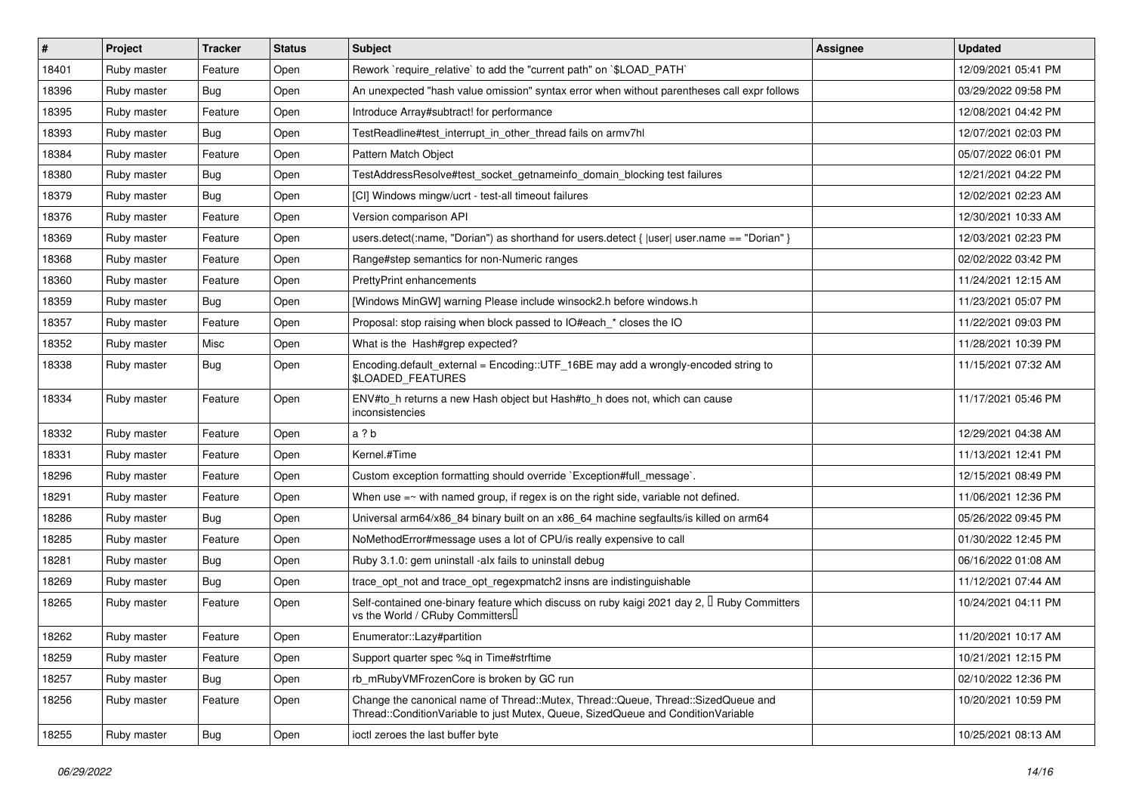| $\vert$ # | <b>Project</b> | <b>Tracker</b> | <b>Status</b> | Subject                                                                                                                                                               | Assignee | <b>Updated</b>      |
|-----------|----------------|----------------|---------------|-----------------------------------------------------------------------------------------------------------------------------------------------------------------------|----------|---------------------|
| 18401     | Ruby master    | Feature        | Open          | Rework `require_relative` to add the "current path" on `\$LOAD_PATH`                                                                                                  |          | 12/09/2021 05:41 PM |
| 18396     | Ruby master    | Bug            | Open          | An unexpected "hash value omission" syntax error when without parentheses call expr follows                                                                           |          | 03/29/2022 09:58 PM |
| 18395     | Ruby master    | Feature        | Open          | Introduce Array#subtract! for performance                                                                                                                             |          | 12/08/2021 04:42 PM |
| 18393     | Ruby master    | Bug            | Open          | TestReadline#test interrupt in other thread fails on armv7hl                                                                                                          |          | 12/07/2021 02:03 PM |
| 18384     | Ruby master    | Feature        | Open          | Pattern Match Object                                                                                                                                                  |          | 05/07/2022 06:01 PM |
| 18380     | Ruby master    | Bug            | Open          | TestAddressResolve#test_socket_getnameinfo_domain_blocking test failures                                                                                              |          | 12/21/2021 04:22 PM |
| 18379     | Ruby master    | Bug            | Open          | [CI] Windows mingw/ucrt - test-all timeout failures                                                                                                                   |          | 12/02/2021 02:23 AM |
| 18376     | Ruby master    | Feature        | Open          | Version comparison API                                                                                                                                                |          | 12/30/2021 10:33 AM |
| 18369     | Ruby master    | Feature        | Open          | users.detect(:name, "Dorian") as shorthand for users.detect {  user  user.name == "Dorian" }                                                                          |          | 12/03/2021 02:23 PM |
| 18368     | Ruby master    | Feature        | Open          | Range#step semantics for non-Numeric ranges                                                                                                                           |          | 02/02/2022 03:42 PM |
| 18360     | Ruby master    | Feature        | Open          | <b>PrettyPrint enhancements</b>                                                                                                                                       |          | 11/24/2021 12:15 AM |
| 18359     | Ruby master    | Bug            | Open          | [Windows MinGW] warning Please include winsock2.h before windows.h                                                                                                    |          | 11/23/2021 05:07 PM |
| 18357     | Ruby master    | Feature        | Open          | Proposal: stop raising when block passed to IO#each_* closes the IO                                                                                                   |          | 11/22/2021 09:03 PM |
| 18352     | Ruby master    | Misc           | Open          | What is the Hash#grep expected?                                                                                                                                       |          | 11/28/2021 10:39 PM |
| 18338     | Ruby master    | Bug            | Open          | Encoding.default_external = Encoding::UTF_16BE may add a wrongly-encoded string to<br><b>\$LOADED FEATURES</b>                                                        |          | 11/15/2021 07:32 AM |
| 18334     | Ruby master    | Feature        | Open          | ENV#to_h returns a new Hash object but Hash#to_h does not, which can cause<br>inconsistencies                                                                         |          | 11/17/2021 05:46 PM |
| 18332     | Ruby master    | Feature        | Open          | a ? b                                                                                                                                                                 |          | 12/29/2021 04:38 AM |
| 18331     | Ruby master    | Feature        | Open          | Kernel.#Time                                                                                                                                                          |          | 11/13/2021 12:41 PM |
| 18296     | Ruby master    | Feature        | Open          | Custom exception formatting should override `Exception#full_message`.                                                                                                 |          | 12/15/2021 08:49 PM |
| 18291     | Ruby master    | Feature        | Open          | When use $=\sim$ with named group, if regex is on the right side, variable not defined.                                                                               |          | 11/06/2021 12:36 PM |
| 18286     | Ruby master    | Bug            | Open          | Universal arm64/x86_84 binary built on an x86_64 machine segfaults/is killed on arm64                                                                                 |          | 05/26/2022 09:45 PM |
| 18285     | Ruby master    | Feature        | Open          | NoMethodError#message uses a lot of CPU/is really expensive to call                                                                                                   |          | 01/30/2022 12:45 PM |
| 18281     | Ruby master    | Bug            | Open          | Ruby 3.1.0: gem uninstall -alx fails to uninstall debug                                                                                                               |          | 06/16/2022 01:08 AM |
| 18269     | Ruby master    | Bug            | Open          | trace_opt_not and trace_opt_regexpmatch2 insns are indistinguishable                                                                                                  |          | 11/12/2021 07:44 AM |
| 18265     | Ruby master    | Feature        | Open          | Self-contained one-binary feature which discuss on ruby kaigi 2021 day 2, $\mathbb I$ Ruby Committers<br>vs the World / CRuby Committers <sup>[]</sup>                |          | 10/24/2021 04:11 PM |
| 18262     | Ruby master    | Feature        | Open          | Enumerator::Lazy#partition                                                                                                                                            |          | 11/20/2021 10:17 AM |
| 18259     | Ruby master    | Feature        | Open          | Support quarter spec %q in Time#strftime                                                                                                                              |          | 10/21/2021 12:15 PM |
| 18257     | Ruby master    | <b>Bug</b>     | Open          | rb_mRubyVMFrozenCore is broken by GC run                                                                                                                              |          | 02/10/2022 12:36 PM |
| 18256     | Ruby master    | Feature        | Open          | Change the canonical name of Thread::Mutex, Thread::Queue, Thread::SizedQueue and<br>Thread::ConditionVariable to just Mutex, Queue, SizedQueue and ConditionVariable |          | 10/20/2021 10:59 PM |
| 18255     | Ruby master    | Bug            | Open          | ioctl zeroes the last buffer byte                                                                                                                                     |          | 10/25/2021 08:13 AM |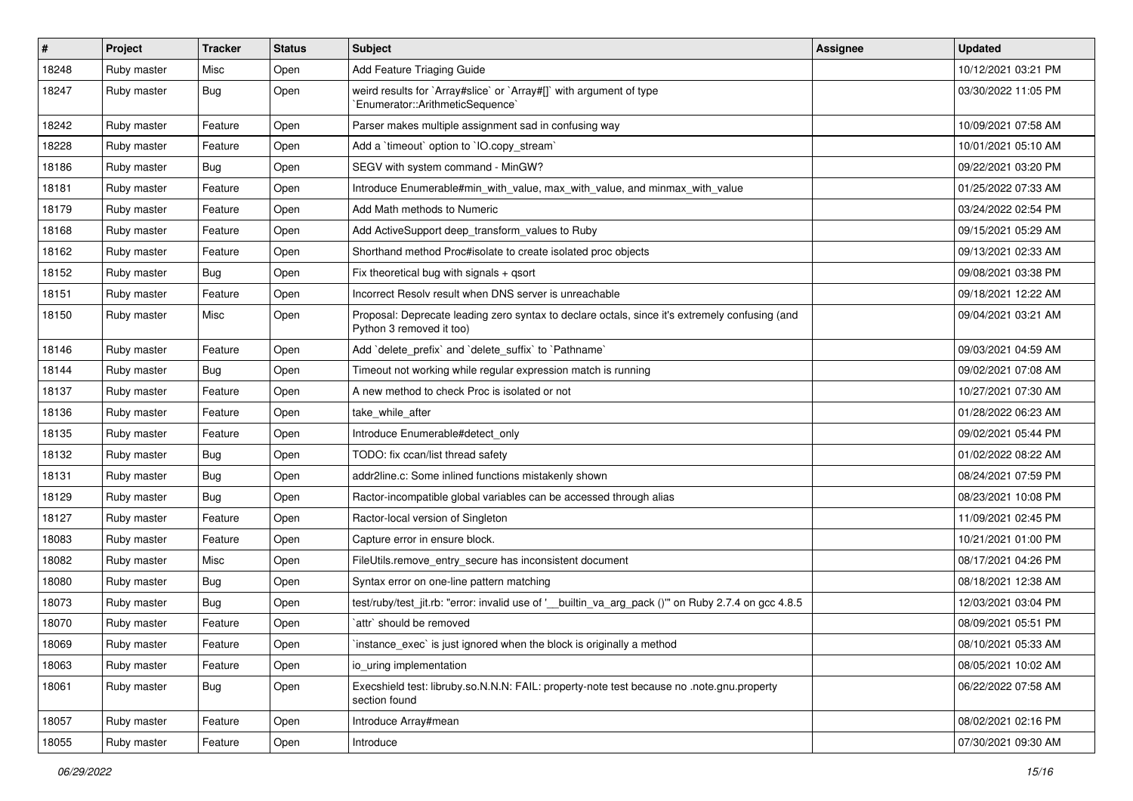| $\vert$ # | <b>Project</b> | <b>Tracker</b> | <b>Status</b> | Subject                                                                                                                    | <b>Assignee</b> | <b>Updated</b>      |
|-----------|----------------|----------------|---------------|----------------------------------------------------------------------------------------------------------------------------|-----------------|---------------------|
| 18248     | Ruby master    | Misc           | Open          | Add Feature Triaging Guide                                                                                                 |                 | 10/12/2021 03:21 PM |
| 18247     | Ruby master    | Bug            | Open          | weird results for `Array#slice` or `Array#[]` with argument of type<br>`Enumerator::ArithmeticSequence`                    |                 | 03/30/2022 11:05 PM |
| 18242     | Ruby master    | Feature        | Open          | Parser makes multiple assignment sad in confusing way                                                                      |                 | 10/09/2021 07:58 AM |
| 18228     | Ruby master    | Feature        | Open          | Add a 'timeout' option to 'IO.copy_stream'                                                                                 |                 | 10/01/2021 05:10 AM |
| 18186     | Ruby master    | Bug            | Open          | SEGV with system command - MinGW?                                                                                          |                 | 09/22/2021 03:20 PM |
| 18181     | Ruby master    | Feature        | Open          | Introduce Enumerable#min_with_value, max_with_value, and minmax_with_value                                                 |                 | 01/25/2022 07:33 AM |
| 18179     | Ruby master    | Feature        | Open          | Add Math methods to Numeric                                                                                                |                 | 03/24/2022 02:54 PM |
| 18168     | Ruby master    | Feature        | Open          | Add ActiveSupport deep_transform_values to Ruby                                                                            |                 | 09/15/2021 05:29 AM |
| 18162     | Ruby master    | Feature        | Open          | Shorthand method Proc#isolate to create isolated proc objects                                                              |                 | 09/13/2021 02:33 AM |
| 18152     | Ruby master    | Bug            | Open          | Fix theoretical bug with signals $+$ qsort                                                                                 |                 | 09/08/2021 03:38 PM |
| 18151     | Ruby master    | Feature        | Open          | Incorrect Resolv result when DNS server is unreachable                                                                     |                 | 09/18/2021 12:22 AM |
| 18150     | Ruby master    | Misc           | Open          | Proposal: Deprecate leading zero syntax to declare octals, since it's extremely confusing (and<br>Python 3 removed it too) |                 | 09/04/2021 03:21 AM |
| 18146     | Ruby master    | Feature        | Open          | Add 'delete_prefix' and 'delete_suffix' to 'Pathname'                                                                      |                 | 09/03/2021 04:59 AM |
| 18144     | Ruby master    | Bug            | Open          | Timeout not working while regular expression match is running                                                              |                 | 09/02/2021 07:08 AM |
| 18137     | Ruby master    | Feature        | Open          | A new method to check Proc is isolated or not                                                                              |                 | 10/27/2021 07:30 AM |
| 18136     | Ruby master    | Feature        | Open          | take while after                                                                                                           |                 | 01/28/2022 06:23 AM |
| 18135     | Ruby master    | Feature        | Open          | Introduce Enumerable#detect only                                                                                           |                 | 09/02/2021 05:44 PM |
| 18132     | Ruby master    | Bug            | Open          | TODO: fix ccan/list thread safety                                                                                          |                 | 01/02/2022 08:22 AM |
| 18131     | Ruby master    | Bug            | Open          | addr2line.c: Some inlined functions mistakenly shown                                                                       |                 | 08/24/2021 07:59 PM |
| 18129     | Ruby master    | Bug            | Open          | Ractor-incompatible global variables can be accessed through alias                                                         |                 | 08/23/2021 10:08 PM |
| 18127     | Ruby master    | Feature        | Open          | Ractor-local version of Singleton                                                                                          |                 | 11/09/2021 02:45 PM |
| 18083     | Ruby master    | Feature        | Open          | Capture error in ensure block.                                                                                             |                 | 10/21/2021 01:00 PM |
| 18082     | Ruby master    | Misc           | Open          | FileUtils.remove_entry_secure has inconsistent document                                                                    |                 | 08/17/2021 04:26 PM |
| 18080     | Ruby master    | <b>Bug</b>     | Open          | Syntax error on one-line pattern matching                                                                                  |                 | 08/18/2021 12:38 AM |
| 18073     | Ruby master    | <b>Bug</b>     | Open          | test/ruby/test_jit.rb: "error: invalid use of '__builtin_va_arg_pack ()"' on Ruby 2.7.4 on gcc 4.8.5                       |                 | 12/03/2021 03:04 PM |
| 18070     | Ruby master    | Feature        | Open          | `attr` should be removed                                                                                                   |                 | 08/09/2021 05:51 PM |
| 18069     | Ruby master    | Feature        | Open          | instance_exec` is just ignored when the block is originally a method                                                       |                 | 08/10/2021 05:33 AM |
| 18063     | Ruby master    | Feature        | Open          | io uring implementation                                                                                                    |                 | 08/05/2021 10:02 AM |
| 18061     | Ruby master    | Bug            | Open          | Execshield test: libruby.so.N.N.N: FAIL: property-note test because no .note.gnu.property<br>section found                 |                 | 06/22/2022 07:58 AM |
| 18057     | Ruby master    | Feature        | Open          | Introduce Array#mean                                                                                                       |                 | 08/02/2021 02:16 PM |
| 18055     | Ruby master    | Feature        | Open          | Introduce                                                                                                                  |                 | 07/30/2021 09:30 AM |